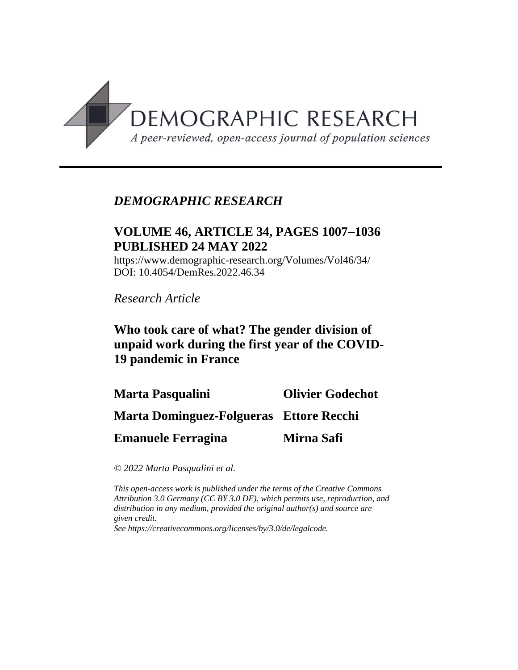

# *DEMOGRAPHIC RESEARCH*

# **VOLUME 46, ARTICLE 34, PAGES 10071036 PUBLISHED 24 MAY 2022**

https://www.demographic-research.org/Volumes/Vol46/34/ DOI: 10.4054/DemRes.2022.46.34

*Research Article*

# **Who took care of what? The gender division of unpaid work during the first year of the COVID-19 pandemic in France**

**Marta Pasqualini Marta Dominguez-Folgueras Ettore Recchi Emanuele Ferragina Olivier Godechot Mirna Safi**

*© 2022 Marta Pasqualini et al.*

*This open-access work is published under the terms of the Creative Commons Attribution 3.0 Germany (CC BY 3.0 DE), which permits use, reproduction, and distribution in any medium, provided the original author(s) and source are given credit.*

*See [https://creativecommons.org/licenses/by/3.0/de/legalcode.](https://creativecommons.org/licenses/by/3.0/de/legalcode)*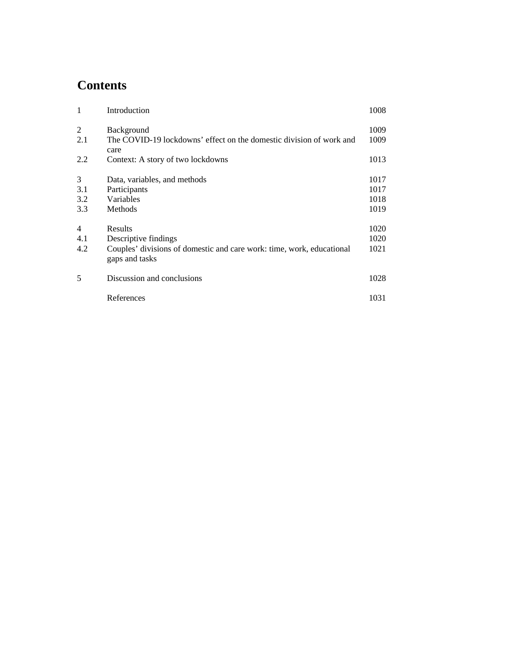# **Contents**

| $\mathbf{1}$                 | Introduction                                                                                                               | 1008                         |
|------------------------------|----------------------------------------------------------------------------------------------------------------------------|------------------------------|
| 2<br>2.1                     | Background<br>The COVID-19 lockdowns' effect on the domestic division of work and<br>care                                  | 1009<br>1009                 |
| 2.2                          | Context: A story of two lockdowns                                                                                          | 1013                         |
| 3<br>3.1<br>3.2<br>3.3       | Data, variables, and methods<br>Participants<br>Variables<br>Methods                                                       | 1017<br>1017<br>1018<br>1019 |
| $\overline{4}$<br>4.1<br>4.2 | Results<br>Descriptive findings<br>Couples' divisions of domestic and care work: time, work, educational<br>gaps and tasks | 1020<br>1020<br>1021         |
| 5                            | Discussion and conclusions                                                                                                 | 1028                         |
|                              | References                                                                                                                 | 1031                         |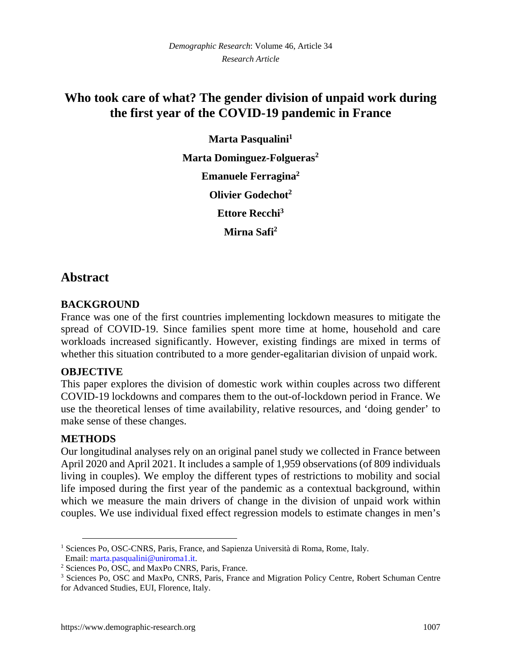# **Who took care of what? The gender division of unpaid work during the first year of the COVID-19 pandemic in France**

**Marta Pasqualini[1](#page-2-0) Marta Dominguez-Folgueras[2](#page-2-1) Emanuele Ferragina<sup>2</sup> Olivier Godechot<sup>2</sup> Ettore Recchi[3](#page-2-2) Mirna Safi<sup>2</sup>**

# **Abstract**

### **BACKGROUND**

France was one of the first countries implementing lockdown measures to mitigate the spread of COVID-19. Since families spent more time at home, household and care workloads increased significantly. However, existing findings are mixed in terms of whether this situation contributed to a more gender-egalitarian division of unpaid work.

### **OBJECTIVE**

This paper explores the division of domestic work within couples across two different COVID-19 lockdowns and compares them to the out-of-lockdown period in France. We use the theoretical lenses of time availability, relative resources, and 'doing gender' to make sense of these changes.

### **METHODS**

Our longitudinal analyses rely on an original panel study we collected in France between April 2020 and April 2021. It includes a sample of 1,959 observations (of 809 individuals living in couples). We employ the different types of restrictions to mobility and social life imposed during the first year of the pandemic as a contextual background, within which we measure the main drivers of change in the division of unpaid work within couples. We use individual fixed effect regression models to estimate changes in men's

<span id="page-2-0"></span><sup>&</sup>lt;sup>1</sup> Sciences Po, OSC-CNRS, Paris, France, and Sapienza Università di Roma, Rome, Italy. Email: [marta.pasqualini@uniroma1.it.](mailto:marta.pasqualini@uniroma1.it)

<span id="page-2-1"></span><sup>2</sup> Sciences Po, OSC, and MaxPo CNRS, Paris, France.

<span id="page-2-2"></span><sup>3</sup> Sciences Po, OSC and MaxPo, CNRS, Paris, France and Migration Policy Centre, Robert Schuman Centre for Advanced Studies, EUI, Florence, Italy.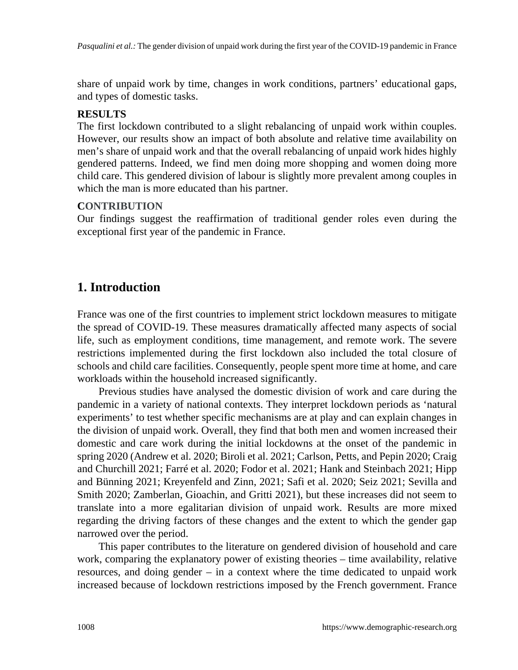share of unpaid work by time, changes in work conditions, partners' educational gaps, and types of domestic tasks.

## **RESULTS**

The first lockdown contributed to a slight rebalancing of unpaid work within couples. However, our results show an impact of both absolute and relative time availability on men's share of unpaid work and that the overall rebalancing of unpaid work hides highly gendered patterns. Indeed, we find men doing more shopping and women doing more child care. This gendered division of labour is slightly more prevalent among couples in which the man is more educated than his partner.

## **CONTRIBUTION**

Our findings suggest the reaffirmation of traditional gender roles even during the exceptional first year of the pandemic in France.

# **1. Introduction**

France was one of the first countries to implement strict lockdown measures to mitigate the spread of COVID-19. These measures dramatically affected many aspects of social life, such as employment conditions, time management, and remote work. The severe restrictions implemented during the first lockdown also included the total closure of schools and child care facilities. Consequently, people spent more time at home, and care workloads within the household increased significantly.

Previous studies have analysed the domestic division of work and care during the pandemic in a variety of national contexts. They interpret lockdown periods as 'natural experiments' to test whether specific mechanisms are at play and can explain changes in the division of unpaid work. Overall, they find that both men and women increased their domestic and care work during the initial lockdowns at the onset of the pandemic in spring 2020 (Andrew et al. 2020; Biroli et al. 2021; Carlson, Petts, and Pepin 2020; Craig and Churchill 2021; Farré et al. 2020; Fodor et al. 2021; Hank and Steinbach 2021; Hipp and Bünning 2021; Kreyenfeld and Zinn, 2021; Safi et al. 2020; Seiz 2021; Sevilla and Smith 2020; Zamberlan, Gioachin, and Gritti 2021), but these increases did not seem to translate into a more egalitarian division of unpaid work. Results are more mixed regarding the driving factors of these changes and the extent to which the gender gap narrowed over the period.

This paper contributes to the literature on gendered division of household and care work, comparing the explanatory power of existing theories – time availability, relative resources, and doing gender – in a context where the time dedicated to unpaid work increased because of lockdown restrictions imposed by the French government. France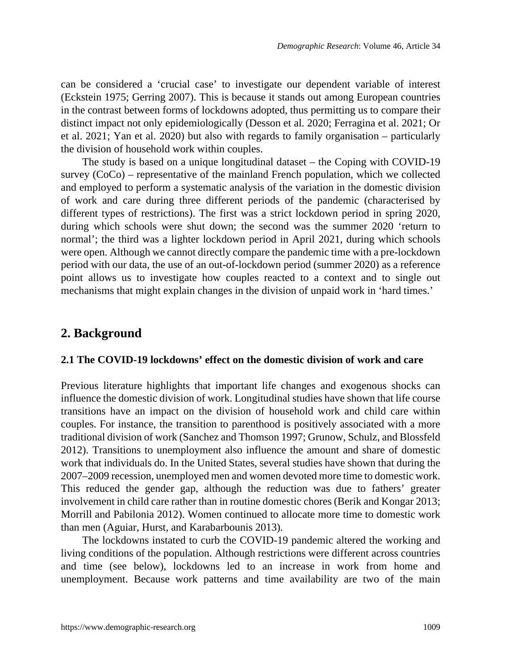can be considered a 'crucial case' to investigate our dependent variable of interest (Eckstein 1975; Gerring 2007). This is because it stands out among European countries in the contrast between forms of lockdowns adopted, thus permitting us to compare their distinct impact not only epidemiologically (Desson et al. 2020; Ferragina et al. 2021; Or et al. 2021; Yan et al. 2020) but also with regards to family organisation – particularly the division of household work within couples.

The study is based on a unique longitudinal dataset – the Coping with COVID-19 survey (CoCo) – representative of the mainland French population, which we collected and employed to perform a systematic analysis of the variation in the domestic division of work and care during three different periods of the pandemic (characterised by different types of restrictions). The first was a strict lockdown period in spring 2020, during which schools were shut down; the second was the summer 2020 'return to normal'; the third was a lighter lockdown period in April 2021, during which schools were open. Although we cannot directly compare the pandemic time with a pre-lockdown period with our data, the use of an out-of-lockdown period (summer 2020) as a reference point allows us to investigate how couples reacted to a context and to single out mechanisms that might explain changes in the division of unpaid work in 'hard times.'

## **2. Background**

#### **2.1 The COVID-19 lockdowns' effect on the domestic division of work and care**

Previous literature highlights that important life changes and exogenous shocks can influence the domestic division of work. Longitudinal studies have shown that life course transitions have an impact on the division of household work and child care within couples. For instance, the transition to parenthood is positively associated with a more traditional division of work (Sanchez and Thomson 1997; Grunow, Schulz, and Blossfeld 2012). Transitions to unemployment also influence the amount and share of domestic work that individuals do. In the United States, several studies have shown that during the 2007–2009 recession, unemployed men and women devoted more time to domestic work. This reduced the gender gap, although the reduction was due to fathers' greater involvement in child care rather than in routine domestic chores (Berik and Kongar 2013; Morrill and Pabilonia 2012). Women continued to allocate more time to domestic work than men (Aguiar, Hurst, and Karabarbounis 2013).

The lockdowns instated to curb the COVID-19 pandemic altered the working and living conditions of the population. Although restrictions were different across countries and time (see below), lockdowns led to an increase in work from home and unemployment. Because work patterns and time availability are two of the main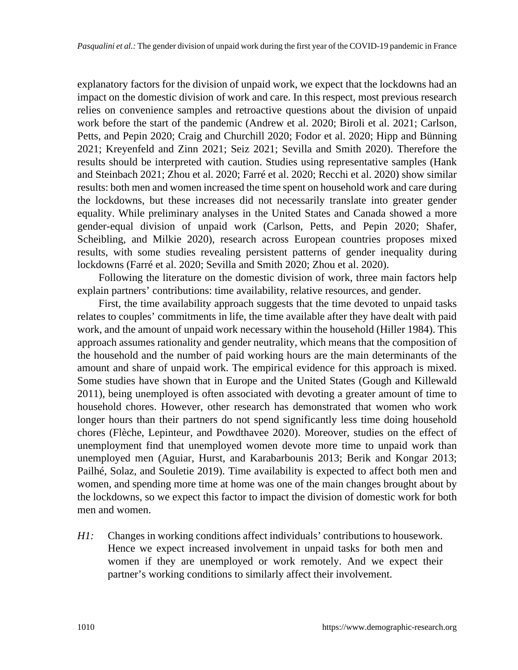explanatory factors for the division of unpaid work, we expect that the lockdowns had an impact on the domestic division of work and care. In this respect, most previous research relies on convenience samples and retroactive questions about the division of unpaid work before the start of the pandemic (Andrew et al. 2020; Biroli et al. 2021; Carlson, Petts, and Pepin 2020; Craig and Churchill 2020; Fodor et al. 2020; Hipp and Bünning 2021; Kreyenfeld and Zinn 2021; Seiz 2021; Sevilla and Smith 2020). Therefore the results should be interpreted with caution. Studies using representative samples (Hank and Steinbach 2021; Zhou et al. 2020; Farré et al. 2020; Recchi et al. 2020) show similar results: both men and women increased the time spent on household work and care during the lockdowns, but these increases did not necessarily translate into greater gender equality. While preliminary analyses in the United States and Canada showed a more gender-equal division of unpaid work (Carlson, Petts, and Pepin 2020; Shafer, Scheibling, and Milkie 2020), research across European countries proposes mixed results, with some studies revealing persistent patterns of gender inequality during lockdowns (Farré et al. 2020; Sevilla and Smith 2020; Zhou et al. 2020).

Following the literature on the domestic division of work, three main factors help explain partners' contributions: time availability, relative resources, and gender.

First, the time availability approach suggests that the time devoted to unpaid tasks relates to couples' commitments in life, the time available after they have dealt with paid work, and the amount of unpaid work necessary within the household (Hiller 1984). This approach assumes rationality and gender neutrality, which means that the composition of the household and the number of paid working hours are the main determinants of the amount and share of unpaid work. The empirical evidence for this approach is mixed. Some studies have shown that in Europe and the United States (Gough and Killewald 2011), being unemployed is often associated with devoting a greater amount of time to household chores. However, other research has demonstrated that women who work longer hours than their partners do not spend significantly less time doing household chores (Flèche, Lepinteur, and Powdthavee 2020). Moreover, studies on the effect of unemployment find that unemployed women devote more time to unpaid work than unemployed men (Aguiar, Hurst, and Karabarbounis 2013; Berik and Kongar 2013; Pailhé, Solaz, and Souletie 2019). Time availability is expected to affect both men and women, and spending more time at home was one of the main changes brought about by the lockdowns, so we expect this factor to impact the division of domestic work for both men and women.

*H1:* Changes in working conditions affect individuals' contributions to housework. Hence we expect increased involvement in unpaid tasks for both men and women if they are unemployed or work remotely. And we expect their partner's working conditions to similarly affect their involvement.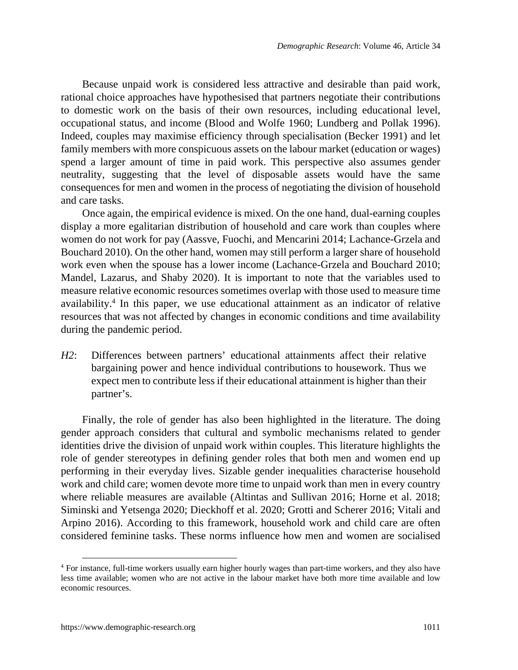Because unpaid work is considered less attractive and desirable than paid work, rational choice approaches have hypothesised that partners negotiate their contributions to domestic work on the basis of their own resources, including educational level, occupational status, and income (Blood and Wolfe 1960; Lundberg and Pollak 1996). Indeed, couples may maximise efficiency through specialisation (Becker 1991) and let family members with more conspicuous assets on the labour market (education or wages) spend a larger amount of time in paid work. This perspective also assumes gender neutrality, suggesting that the level of disposable assets would have the same consequences for men and women in the process of negotiating the division of household and care tasks.

Once again, the empirical evidence is mixed. On the one hand, dual-earning couples display a more egalitarian distribution of household and care work than couples where women do not work for pay (Aassve, Fuochi, and Mencarini 2014; Lachance-Grzela and Bouchard 2010). On the other hand, women may still perform a larger share of household work even when the spouse has a lower income (Lachance-Grzela and Bouchard 2010; Mandel, Lazarus, and Shaby 2020). It is important to note that the variables used to measure relative economic resources sometimes overlap with those used to measure time availability.[4](#page-6-0) In this paper, we use educational attainment as an indicator of relative resources that was not affected by changes in economic conditions and time availability during the pandemic period.

*H2*: Differences between partners' educational attainments affect their relative bargaining power and hence individual contributions to housework. Thus we expect men to contribute less if their educational attainment is higher than their partner's.

Finally, the role of gender has also been highlighted in the literature. The doing gender approach considers that cultural and symbolic mechanisms related to gender identities drive the division of unpaid work within couples. This literature highlights the role of gender stereotypes in defining gender roles that both men and women end up performing in their everyday lives. Sizable gender inequalities characterise household work and child care; women devote more time to unpaid work than men in every country where reliable measures are available (Altintas and Sullivan 2016; Horne et al. 2018; Siminski and Yetsenga 2020; Dieckhoff et al. 2020; Grotti and Scherer 2016; Vitali and Arpino 2016). According to this framework, household work and child care are often considered feminine tasks. These norms influence how men and women are socialised

<span id="page-6-0"></span><sup>4</sup> For instance, full-time workers usually earn higher hourly wages than part-time workers, and they also have less time available; women who are not active in the labour market have both more time available and low economic resources.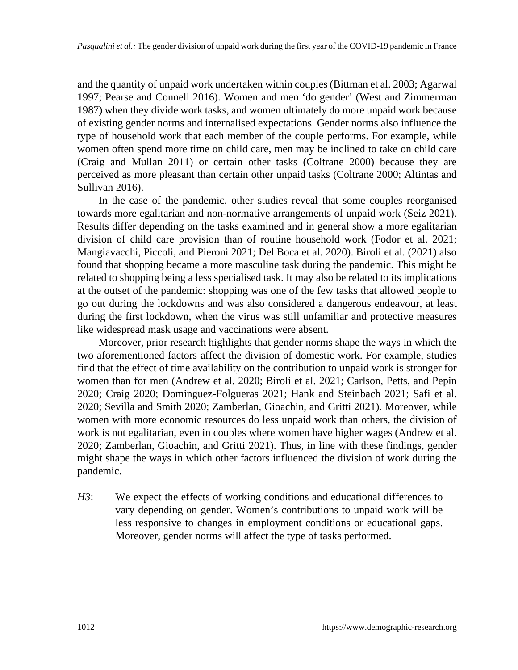and the quantity of unpaid work undertaken within couples (Bittman et al. 2003; Agarwal 1997; Pearse and Connell 2016). Women and men 'do gender' (West and Zimmerman 1987) when they divide work tasks, and women ultimately do more unpaid work because of existing gender norms and internalised expectations. Gender norms also influence the type of household work that each member of the couple performs. For example, while women often spend more time on child care, men may be inclined to take on child care (Craig and Mullan 2011) or certain other tasks (Coltrane 2000) because they are perceived as more pleasant than certain other unpaid tasks (Coltrane 2000; Altintas and Sullivan 2016).

In the case of the pandemic, other studies reveal that some couples reorganised towards more egalitarian and non-normative arrangements of unpaid work (Seiz 2021). Results differ depending on the tasks examined and in general show a more egalitarian division of child care provision than of routine household work (Fodor et al. 2021; Mangiavacchi, Piccoli, and Pieroni 2021; Del Boca et al. 2020). Biroli et al. (2021) also found that shopping became a more masculine task during the pandemic. This might be related to shopping being a less specialised task. It may also be related to its implications at the outset of the pandemic: shopping was one of the few tasks that allowed people to go out during the lockdowns and was also considered a dangerous endeavour, at least during the first lockdown, when the virus was still unfamiliar and protective measures like widespread mask usage and vaccinations were absent.

Moreover, prior research highlights that gender norms shape the ways in which the two aforementioned factors affect the division of domestic work. For example, studies find that the effect of time availability on the contribution to unpaid work is stronger for women than for men (Andrew et al. 2020; Biroli et al. 2021; Carlson, Petts, and Pepin 2020; Craig 2020; Dominguez-Folgueras 2021; Hank and Steinbach 2021; Safi et al. 2020; Sevilla and Smith 2020; Zamberlan, Gioachin, and Gritti 2021). Moreover, while women with more economic resources do less unpaid work than others, the division of work is not egalitarian, even in couples where women have higher wages (Andrew et al. 2020; Zamberlan, Gioachin, and Gritti 2021). Thus, in line with these findings, gender might shape the ways in which other factors influenced the division of work during the pandemic.

*H3*: We expect the effects of working conditions and educational differences to vary depending on gender. Women's contributions to unpaid work will be less responsive to changes in employment conditions or educational gaps. Moreover, gender norms will affect the type of tasks performed.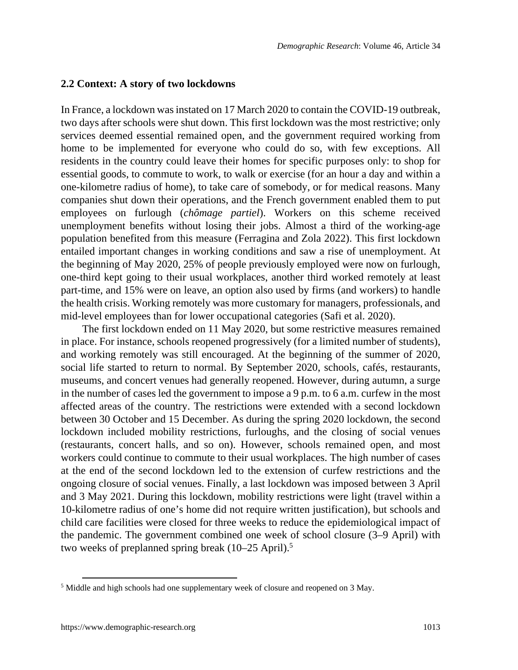#### **2.2 Context: A story of two lockdowns**

In France, a lockdown was instated on 17 March 2020 to contain the COVID-19 outbreak, two days after schools were shut down. This first lockdown was the most restrictive; only services deemed essential remained open, and the government required working from home to be implemented for everyone who could do so, with few exceptions. All residents in the country could leave their homes for specific purposes only: to shop for essential goods, to commute to work, to walk or exercise (for an hour a day and within a one-kilometre radius of home), to take care of somebody, or for medical reasons. Many companies shut down their operations, and the French government enabled them to put employees on furlough (*chômage partiel*). Workers on this scheme received unemployment benefits without losing their jobs. Almost a third of the working-age population benefited from this measure (Ferragina and Zola 2022). This first lockdown entailed important changes in working conditions and saw a rise of unemployment. At the beginning of May 2020, 25% of people previously employed were now on furlough, one-third kept going to their usual workplaces, another third worked remotely at least part-time, and 15% were on leave, an option also used by firms (and workers) to handle the health crisis. Working remotely was more customary for managers, professionals, and mid-level employees than for lower occupational categories (Safi et al. 2020).

The first lockdown ended on 11 May 2020, but some restrictive measures remained in place. For instance, schools reopened progressively (for a limited number of students), and working remotely was still encouraged. At the beginning of the summer of 2020, social life started to return to normal. By September 2020, schools, cafés, restaurants, museums, and concert venues had generally reopened. However, during autumn, a surge in the number of cases led the government to impose a 9 p.m. to 6 a.m. curfew in the most affected areas of the country. The restrictions were extended with a second lockdown between 30 October and 15 December. As during the spring 2020 lockdown, the second lockdown included mobility restrictions, furloughs, and the closing of social venues (restaurants, concert halls, and so on). However, schools remained open, and most workers could continue to commute to their usual workplaces. The high number of cases at the end of the second lockdown led to the extension of curfew restrictions and the ongoing closure of social venues. Finally, a last lockdown was imposed between 3 April and 3 May 2021. During this lockdown, mobility restrictions were light (travel within a 10-kilometre radius of one's home did not require written justification), but schools and child care facilities were closed for three weeks to reduce the epidemiological impact of the pandemic. The government combined one week of school closure (3–9 April) with two weeks of preplanned spring break (10–2[5](#page-8-0) April).<sup>5</sup>

<span id="page-8-0"></span><sup>&</sup>lt;sup>5</sup> Middle and high schools had one supplementary week of closure and reopened on 3 May.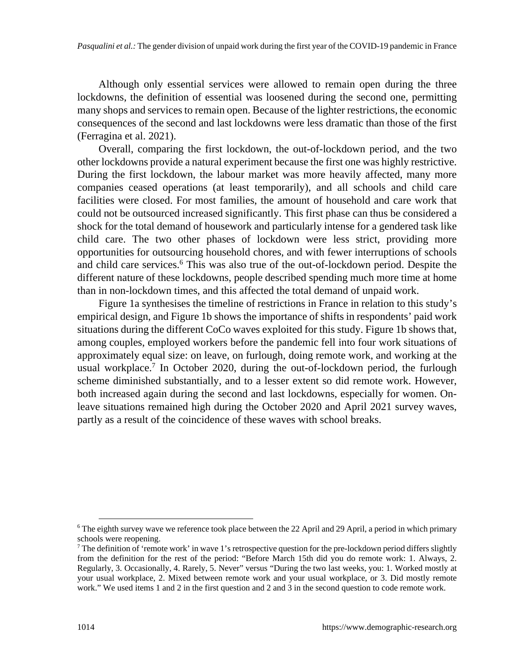Although only essential services were allowed to remain open during the three lockdowns, the definition of essential was loosened during the second one, permitting many shops and services to remain open. Because of the lighter restrictions, the economic consequences of the second and last lockdowns were less dramatic than those of the first (Ferragina et al. 2021).

Overall, comparing the first lockdown, the out-of-lockdown period, and the two other lockdowns provide a natural experiment because the first one was highly restrictive. During the first lockdown, the labour market was more heavily affected, many more companies ceased operations (at least temporarily), and all schools and child care facilities were closed. For most families, the amount of household and care work that could not be outsourced increased significantly. This first phase can thus be considered a shock for the total demand of housework and particularly intense for a gendered task like child care. The two other phases of lockdown were less strict, providing more opportunities for outsourcing household chores, and with fewer interruptions of schools and child care services.<sup>[6](#page-9-0)</sup> This was also true of the out-of-lockdown period. Despite the different nature of these lockdowns, people described spending much more time at home than in non-lockdown times, and this affected the total demand of unpaid work.

Figure 1a synthesises the timeline of restrictions in France in relation to this study's empirical design, and Figure 1b shows the importance of shifts in respondents' paid work situations during the different CoCo waves exploited for this study. Figure 1b shows that, among couples, employed workers before the pandemic fell into four work situations of approximately equal size: on leave, on furlough, doing remote work, and working at the usual workplace.<sup>[7](#page-9-1)</sup> In October 2020, during the out-of-lockdown period, the furlough scheme diminished substantially, and to a lesser extent so did remote work. However, both increased again during the second and last lockdowns, especially for women. Onleave situations remained high during the October 2020 and April 2021 survey waves, partly as a result of the coincidence of these waves with school breaks.

<span id="page-9-0"></span><sup>&</sup>lt;sup>6</sup> The eighth survey wave we reference took place between the 22 April and 29 April, a period in which primary schools were reopening.

<span id="page-9-1"></span> $^7$  The definition of 'remote work' in wave 1's retrospective question for the pre-lockdown period differs slightly from the definition for the rest of the period: "Before March 15th did you do remote work: 1. Always, 2. Regularly, 3. Occasionally, 4. Rarely, 5. Never" versus "During the two last weeks, you: 1. Worked mostly at your usual workplace, 2. Mixed between remote work and your usual workplace, or 3. Did mostly remote work." We used items 1 and 2 in the first question and 2 and 3 in the second question to code remote work.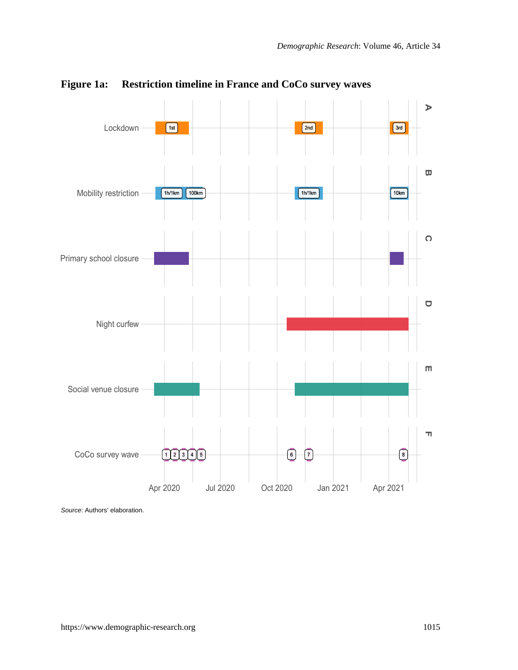

### **Figure 1a: Restriction timeline in France and CoCo survey waves**

*Source*: Authors' elaboration.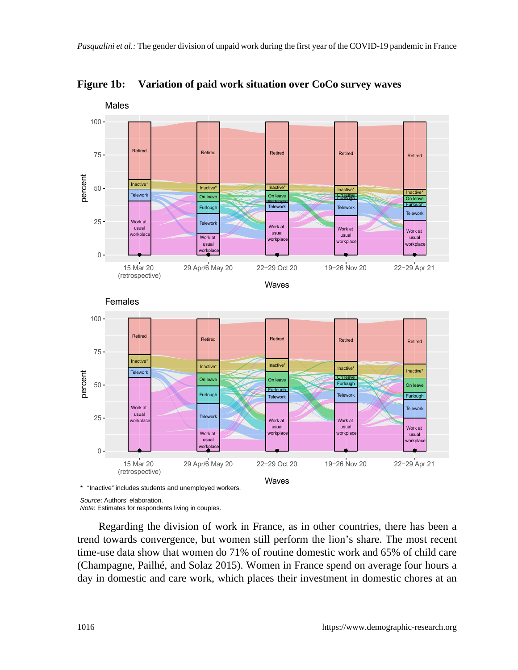

**Figure 1b: Variation of paid work situation over CoCo survey waves**

\* "Inactive" includes students and unemployed workers.



*Note*: Estimates for respondents living in couples.

Regarding the division of work in France, as in other countries, there has been a trend towards convergence, but women still perform the lion's share. The most recent time-use data show that women do 71% of routine domestic work and 65% of child care (Champagne, Pailhé, and Solaz 2015). Women in France spend on average four hours a day in domestic and care work, which places their investment in domestic chores at an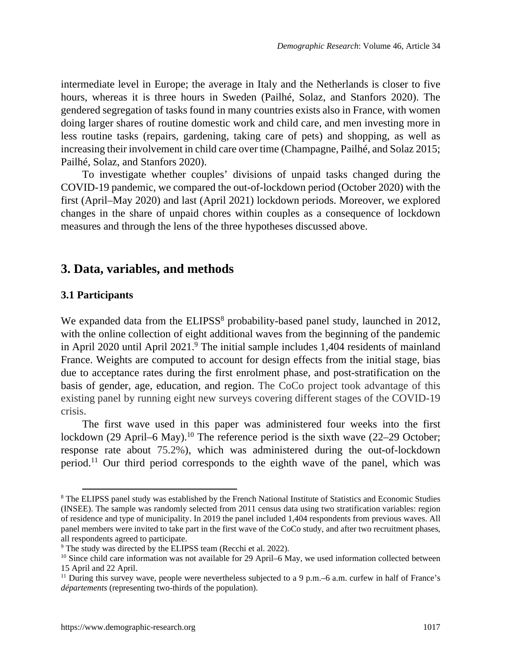intermediate level in Europe; the average in Italy and the Netherlands is closer to five hours, whereas it is three hours in Sweden (Pailhé, Solaz, and Stanfors 2020). The gendered segregation of tasks found in many countries exists also in France, with women doing larger shares of routine domestic work and child care, and men investing more in less routine tasks (repairs, gardening, taking care of pets) and shopping, as well as increasing their involvement in child care over time (Champagne, Pailhé, and Solaz 2015; Pailhé, Solaz, and Stanfors 2020).

To investigate whether couples' divisions of unpaid tasks changed during the COVID-19 pandemic, we compared the out-of-lockdown period (October 2020) with the first (April–May 2020) and last (April 2021) lockdown periods. Moreover, we explored changes in the share of unpaid chores within couples as a consequence of lockdown measures and through the lens of the three hypotheses discussed above.

## **3. Data, variables, and methods**

#### **3.1 Participants**

We expanded data from the ELIPSS<sup>[8](#page-12-0)</sup> probability-based panel study, launched in 2012, with the online collection of eight additional waves from the beginning of the pandemic in April 2020 until April 2021.<sup>[9](#page-12-1)</sup> The initial sample includes 1,404 residents of mainland France. Weights are computed to account for design effects from the initial stage, bias due to acceptance rates during the first enrolment phase, and post-stratification on the basis of gender, age, education, and region. The CoCo project took advantage of this existing panel by running eight new surveys covering different stages of the COVID-19 crisis.

The first wave used in this paper was administered four weeks into the first lockdown (29 April–6 May).<sup>[10](#page-12-2)</sup> The reference period is the sixth wave (22–29 October; response rate about 75.2%), which was administered during the out-of-lockdown period.[11](#page-12-3) Our third period corresponds to the eighth wave of the panel, which was

<span id="page-12-0"></span><sup>&</sup>lt;sup>8</sup> The ELIPSS panel study was established by the French National Institute of Statistics and Economic Studies (INSEE). The sample was randomly selected from 2011 census data using two stratification variables: region of residence and type of municipality. In 2019 the panel included 1,404 respondents from previous waves. All panel members were invited to take part in the first wave of the CoCo study, and after two recruitment phases, all respondents agreed to participate.

<span id="page-12-1"></span><sup>&</sup>lt;sup>9</sup> The study was directed by the ELIPSS team (Recchi et al. 2022).

<span id="page-12-2"></span><sup>&</sup>lt;sup>10</sup> Since child care information was not available for 29 April–6 May, we used information collected between 15 April and 22 April.

<span id="page-12-3"></span><sup>&</sup>lt;sup>11</sup> During this survey wave, people were nevertheless subjected to a 9 p.m.–6 a.m. curfew in half of France's *départements* (representing two-thirds of the population).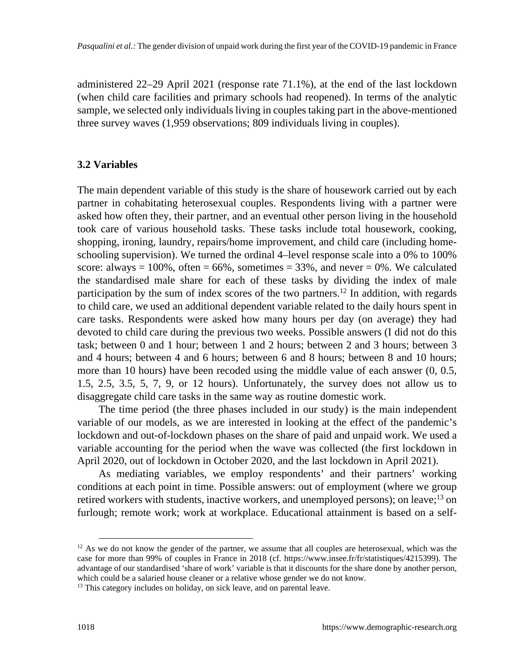administered 22–29 April 2021 (response rate 71.1%), at the end of the last lockdown (when child care facilities and primary schools had reopened). In terms of the analytic sample, we selected only individuals living in couples taking part in the above-mentioned three survey waves (1,959 observations; 809 individuals living in couples).

#### **3.2 Variables**

The main dependent variable of this study is the share of housework carried out by each partner in cohabitating heterosexual couples. Respondents living with a partner were asked how often they, their partner, and an eventual other person living in the household took care of various household tasks. These tasks include total housework, cooking, shopping, ironing, laundry, repairs/home improvement, and child care (including homeschooling supervision). We turned the ordinal 4–level response scale into a 0% to 100% score: always =  $100\%$ , often =  $66\%$ , sometimes =  $33\%$ , and never = 0%. We calculated the standardised male share for each of these tasks by dividing the index of male participation by the sum of index scores of the two partners.<sup>[12](#page-13-0)</sup> In addition, with regards to child care, we used an additional dependent variable related to the daily hours spent in care tasks. Respondents were asked how many hours per day (on average) they had devoted to child care during the previous two weeks. Possible answers (I did not do this task; between 0 and 1 hour; between 1 and 2 hours; between 2 and 3 hours; between 3 and 4 hours; between 4 and 6 hours; between 6 and 8 hours; between 8 and 10 hours; more than 10 hours) have been recoded using the middle value of each answer (0, 0.5, 1.5, 2.5, 3.5, 5, 7, 9, or 12 hours). Unfortunately, the survey does not allow us to disaggregate child care tasks in the same way as routine domestic work.

The time period (the three phases included in our study) is the main independent variable of our models, as we are interested in looking at the effect of the pandemic's lockdown and out-of-lockdown phases on the share of paid and unpaid work. We used a variable accounting for the period when the wave was collected (the first lockdown in April 2020, out of lockdown in October 2020, and the last lockdown in April 2021).

As mediating variables, we employ respondents' and their partners' working conditions at each point in time. Possible answers: out of employment (where we group retired workers with students, inactive workers, and unemployed persons); on leave;[13](#page-13-1) on furlough; remote work; work at workplace. Educational attainment is based on a self-

<span id="page-13-0"></span> $12$  As we do not know the gender of the partner, we assume that all couples are heterosexual, which was the case for more than 99% of couples in France in 2018 (cf. https://www.insee.fr/fr/statistiques/4215399). The advantage of our standardised 'share of work' variable is that it discounts for the share done by another person, which could be a salaried house cleaner or a relative whose gender we do not know.

<span id="page-13-1"></span><sup>&</sup>lt;sup>13</sup> This category includes on holiday, on sick leave, and on parental leave.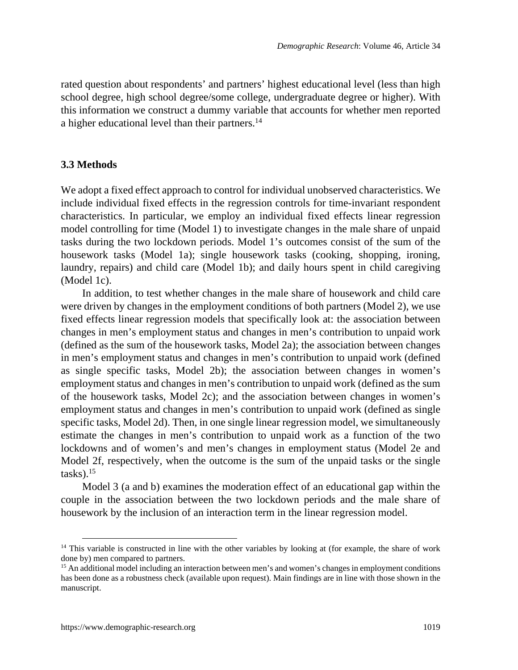rated question about respondents' and partners' highest educational level (less than high school degree, high school degree/some college, undergraduate degree or higher). With this information we construct a dummy variable that accounts for whether men reported a higher educational level than their partners.<sup>[14](#page-14-0)</sup>

#### **3.3 Methods**

We adopt a fixed effect approach to control for individual unobserved characteristics. We include individual fixed effects in the regression controls for time-invariant respondent characteristics. In particular, we employ an individual fixed effects linear regression model controlling for time (Model 1) to investigate changes in the male share of unpaid tasks during the two lockdown periods. Model 1's outcomes consist of the sum of the housework tasks (Model 1a); single housework tasks (cooking, shopping, ironing, laundry, repairs) and child care (Model 1b); and daily hours spent in child caregiving (Model 1c).

In addition, to test whether changes in the male share of housework and child care were driven by changes in the employment conditions of both partners (Model 2), we use fixed effects linear regression models that specifically look at: the association between changes in men's employment status and changes in men's contribution to unpaid work (defined as the sum of the housework tasks, Model 2a); the association between changes in men's employment status and changes in men's contribution to unpaid work (defined as single specific tasks, Model 2b); the association between changes in women's employment status and changes in men's contribution to unpaid work (defined as the sum of the housework tasks, Model 2c); and the association between changes in women's employment status and changes in men's contribution to unpaid work (defined as single specific tasks, Model 2d). Then, in one single linear regression model, we simultaneously estimate the changes in men's contribution to unpaid work as a function of the two lockdowns and of women's and men's changes in employment status (Model 2e and Model 2f, respectively, when the outcome is the sum of the unpaid tasks or the single  $tasks).<sup>15</sup>$  $tasks).<sup>15</sup>$  $tasks).<sup>15</sup>$ 

Model 3 (a and b) examines the moderation effect of an educational gap within the couple in the association between the two lockdown periods and the male share of housework by the inclusion of an interaction term in the linear regression model.

<span id="page-14-0"></span><sup>&</sup>lt;sup>14</sup> This variable is constructed in line with the other variables by looking at (for example, the share of work done by) men compared to partners.

<span id="page-14-1"></span><sup>&</sup>lt;sup>15</sup> An additional model including an interaction between men's and women's changes in employment conditions has been done as a robustness check (available upon request). Main findings are in line with those shown in the manuscript.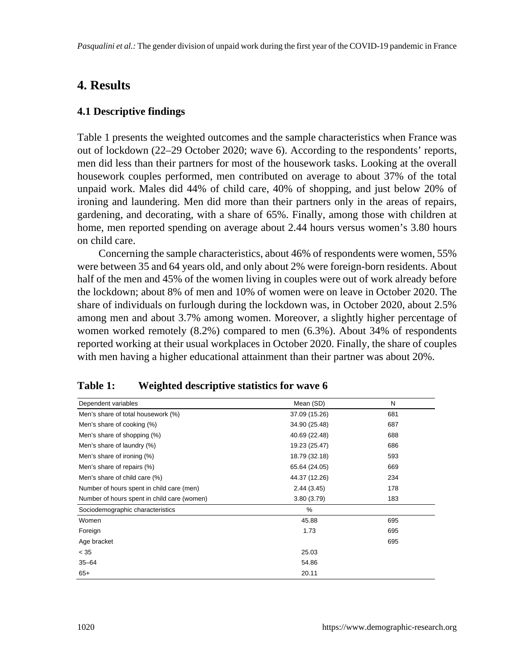# **4. Results**

### **4.1 Descriptive findings**

Table 1 presents the weighted outcomes and the sample characteristics when France was out of lockdown (22–29 October 2020; wave 6). According to the respondents' reports, men did less than their partners for most of the housework tasks. Looking at the overall housework couples performed, men contributed on average to about 37% of the total unpaid work. Males did 44% of child care, 40% of shopping, and just below 20% of ironing and laundering. Men did more than their partners only in the areas of repairs, gardening, and decorating, with a share of 65%. Finally, among those with children at home, men reported spending on average about 2.44 hours versus women's 3.80 hours on child care.

Concerning the sample characteristics, about 46% of respondents were women, 55% were between 35 and 64 years old, and only about 2% were foreign-born residents. About half of the men and 45% of the women living in couples were out of work already before the lockdown; about 8% of men and 10% of women were on leave in October 2020. The share of individuals on furlough during the lockdown was, in October 2020, about 2.5% among men and about 3.7% among women. Moreover, a slightly higher percentage of women worked remotely (8.2%) compared to men (6.3%). About 34% of respondents reported working at their usual workplaces in October 2020. Finally, the share of couples with men having a higher educational attainment than their partner was about 20%.

| Dependent variables                         | Mean (SD)     | N   |
|---------------------------------------------|---------------|-----|
| Men's share of total housework (%)          | 37.09 (15.26) | 681 |
| Men's share of cooking (%)                  | 34.90 (25.48) | 687 |
| Men's share of shopping (%)                 | 40.69 (22.48) | 688 |
| Men's share of laundry (%)                  | 19.23 (25.47) | 686 |
| Men's share of ironing (%)                  | 18.79 (32.18) | 593 |
| Men's share of repairs (%)                  | 65.64 (24.05) | 669 |
| Men's share of child care (%)               | 44.37 (12.26) | 234 |
| Number of hours spent in child care (men)   | 2.44(3.45)    | 178 |
| Number of hours spent in child care (women) | 3.80(3.79)    | 183 |
| Sociodemographic characteristics            | %             |     |
| Women                                       | 45.88         | 695 |
| Foreign                                     | 1.73          | 695 |
| Age bracket                                 |               | 695 |
| < 35                                        | 25.03         |     |
| $35 - 64$                                   | 54.86         |     |
| $65+$                                       | 20.11         |     |

### **Table 1: Weighted descriptive statistics for wave 6**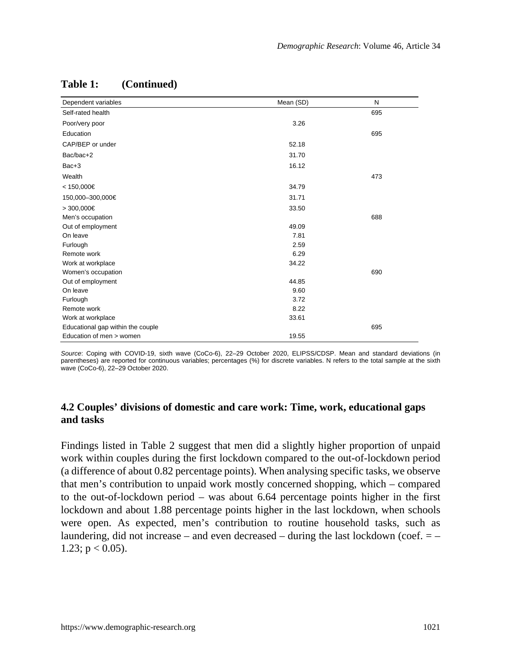| Dependent variables               | Mean (SD) | N   |
|-----------------------------------|-----------|-----|
| Self-rated health                 |           | 695 |
| Poor/very poor                    | 3.26      |     |
| Education                         |           | 695 |
| CAP/BEP or under                  | 52.18     |     |
| Bac/bac+2                         | 31.70     |     |
| Bac+3                             | 16.12     |     |
| Wealth                            |           | 473 |
| < 150,000€                        | 34.79     |     |
| 150,000-300,000€                  | 31.71     |     |
| > 300,000€                        | 33.50     |     |
| Men's occupation                  |           | 688 |
| Out of employment                 | 49.09     |     |
| On leave                          | 7.81      |     |
| Furlough                          | 2.59      |     |
| Remote work                       | 6.29      |     |
| Work at workplace                 | 34.22     |     |
| Women's occupation                |           | 690 |
| Out of employment                 | 44.85     |     |
| On leave                          | 9.60      |     |
| Furlough                          | 3.72      |     |
| Remote work                       | 8.22      |     |
| Work at workplace                 | 33.61     |     |
| Educational gap within the couple |           | 695 |
| Education of men > women          | 19.55     |     |

# **Table 1: (Continued)**

*Source*: Coping with COVID-19, sixth wave (CoCo-6), 22–29 October 2020, ELIPSS/CDSP. Mean and standard deviations (in parentheses) are reported for continuous variables; percentages (%) for discrete variables. N refers to the total sample at the sixth wave (CoCo-6), 22–29 October 2020.

### **4.2 Couples' divisions of domestic and care work: Time, work, educational gaps and tasks**

Findings listed in Table 2 suggest that men did a slightly higher proportion of unpaid work within couples during the first lockdown compared to the out-of-lockdown period (a difference of about 0.82 percentage points). When analysing specific tasks, we observe that men's contribution to unpaid work mostly concerned shopping, which – compared to the out-of-lockdown period – was about 6.64 percentage points higher in the first lockdown and about 1.88 percentage points higher in the last lockdown, when schools were open. As expected, men's contribution to routine household tasks, such as laundering, did not increase – and even decreased – during the last lockdown (coef.  $=$  – 1.23;  $p < 0.05$ ).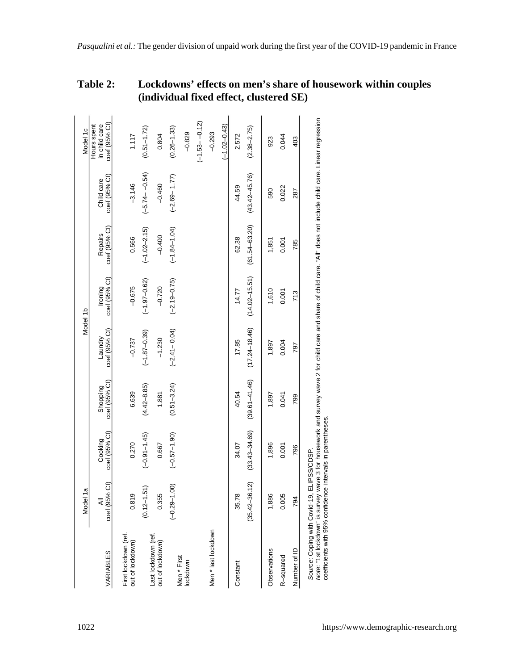|                                                                                                                                                                                                                                                                                        | Model 1a           |                          |                           |                          | Model 1b                 |                          |                            | Model 1c                                      |
|----------------------------------------------------------------------------------------------------------------------------------------------------------------------------------------------------------------------------------------------------------------------------------------|--------------------|--------------------------|---------------------------|--------------------------|--------------------------|--------------------------|----------------------------|-----------------------------------------------|
| VARIABLES                                                                                                                                                                                                                                                                              | coef (95% CI)<br>₹ | coef (95% CI)<br>Cooking | coef (95% CI)<br>Shopping | coef (95% CI)<br>Laundry | coef (95% CI)<br>Ironing | coef (95% CI)<br>Repairs | coef (95% CI<br>Child care | coef (95% CI)<br>in child care<br>Hours spent |
| First lockdown (ref.<br>out of lockdown)                                                                                                                                                                                                                                               | 0.819              | 0.270                    | 6.639                     | $-0.737$                 | $-0.675$                 | 0.566                    | $-3.146$                   | 1.117                                         |
|                                                                                                                                                                                                                                                                                        | $(0.12 - 1.51)$    | $(-0.91 - 1.45)$         | $(4.42 - 8.85)$           | $(-1.87 - 0.39)$         | $(-1.97 - 0.62)$         | $(-1.02 - 2.15)$         | $(-5.74 - -0.54)$          | $(0.51 - 1.72)$                               |
| Last lockdown (ref<br>out of lockdown)                                                                                                                                                                                                                                                 | 0.355              | 0.667                    | 1.881                     | $-1.230$                 | $-0.720$                 | $-0.400$                 | $-0.460$                   | 0.804                                         |
| Men * First                                                                                                                                                                                                                                                                            | $(-0.29 - 1.00)$   | $(-0.57 - 1.90)$         | $(0.51 - 3.24)$           | $(-2.41 - 0.04)$         | $(-2.19 - 0.75)$         | $(-1.84 - 1.04)$         | $(-2.69 - 1.77)$           | $(0.26 - 1.33)$                               |
| lockdown                                                                                                                                                                                                                                                                               |                    |                          |                           |                          |                          |                          |                            | $-0.829$                                      |
|                                                                                                                                                                                                                                                                                        |                    |                          |                           |                          |                          |                          |                            | $(-1.53 - -0.12)$                             |
| Men * last lockdown                                                                                                                                                                                                                                                                    |                    |                          |                           |                          |                          |                          |                            | $-0.293$                                      |
|                                                                                                                                                                                                                                                                                        |                    |                          |                           |                          |                          |                          |                            | $(-1.02 - 0.43)$                              |
| Constant                                                                                                                                                                                                                                                                               | 35.78              | 34.07                    | 40.54                     | 17.85                    | 14.77                    | 62.38                    | 44.59                      | 2.572                                         |
|                                                                                                                                                                                                                                                                                        | $(35.42 - 36.12)$  | $(33.43 - 34.69)$        | $(39.61 - 41.46)$         | $(17.24 - 18.46)$        | $(14.02 - 15.51)$        | $(61.54 - 63.20)$        | $(43.42 - 45.76)$          | $(2.38 - 2.75)$                               |
| Observations                                                                                                                                                                                                                                                                           | 1,886              | 1,896                    | 1,897                     | 1,897                    | 1,610                    | 1,851                    | 590                        | 923                                           |
| R-squared                                                                                                                                                                                                                                                                              | 0.005              | 0.001                    | 0.041                     | 0.004                    | 0.001                    | 0.001                    | 0.022                      | 0.044                                         |
| Number of ID                                                                                                                                                                                                                                                                           | 794                | 796                      | 799                       | 797                      | 713                      | 785                      | 287                        | 403                                           |
| Note: "1st lockdown" is survey wave 3 for housework and survey wave 2 for child care and share of child care. "All" does not include child care. Linear regression<br>codinication of the AFO / and and an internal of also an advantage<br>Source: Coping with Covid-19, ELIPSS/CDSP. |                    |                          |                           |                          |                          |                          |                            |                                               |

| <b>Table 2:</b> | Lockdowns' effects on men's share of housework within couples |
|-----------------|---------------------------------------------------------------|
|                 | (individual fixed effect, clustered SE)                       |

coefficients with 95% confidence intervals in parentheses. coefficients with 95% confidence intervals in parentheses.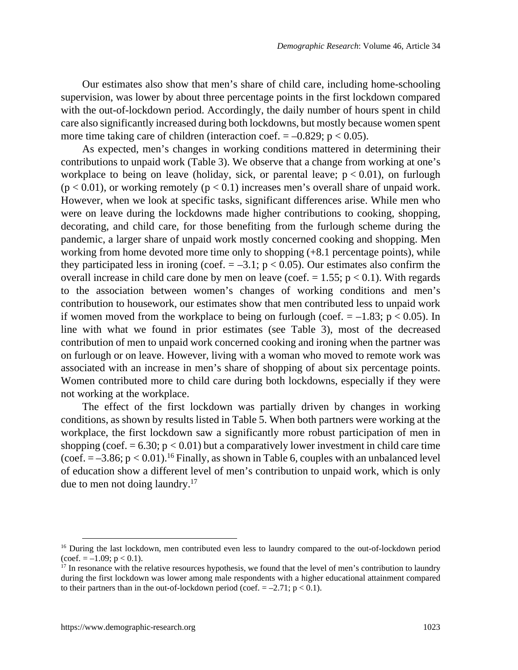Our estimates also show that men's share of child care, including home-schooling supervision, was lower by about three percentage points in the first lockdown compared with the out-of-lockdown period. Accordingly, the daily number of hours spent in child care also significantly increased during both lockdowns, but mostly because women spent more time taking care of children (interaction coef.  $= -0.829$ ; p < 0.05).

As expected, men's changes in working conditions mattered in determining their contributions to unpaid work (Table 3). We observe that a change from working at one's workplace to being on leave (holiday, sick, or parental leave;  $p < 0.01$ ), on furlough  $(p < 0.01)$ , or working remotely  $(p < 0.1)$  increases men's overall share of unpaid work. However, when we look at specific tasks, significant differences arise. While men who were on leave during the lockdowns made higher contributions to cooking, shopping, decorating, and child care, for those benefiting from the furlough scheme during the pandemic, a larger share of unpaid work mostly concerned cooking and shopping. Men working from home devoted more time only to shopping (+8.1 percentage points), while they participated less in ironing (coef.  $= -3.1$ ; p < 0.05). Our estimates also confirm the overall increase in child care done by men on leave (coef.  $= 1.55$ ;  $p < 0.1$ ). With regards to the association between women's changes of working conditions and men's contribution to housework, our estimates show that men contributed less to unpaid work if women moved from the workplace to being on furlough (coef.  $= -1.83$ ; p < 0.05). In line with what we found in prior estimates (see Table 3), most of the decreased contribution of men to unpaid work concerned cooking and ironing when the partner was on furlough or on leave. However, living with a woman who moved to remote work was associated with an increase in men's share of shopping of about six percentage points. Women contributed more to child care during both lockdowns, especially if they were not working at the workplace.

The effect of the first lockdown was partially driven by changes in working conditions, as shown by results listed in Table 5. When both partners were working at the workplace, the first lockdown saw a significantly more robust participation of men in shopping (coef.  $= 6.30$ ;  $p < 0.01$ ) but a comparatively lower investment in child care time (coef.  $= -3.86$ ;  $p < 0.01$ ).<sup>[16](#page-18-0)</sup> Finally, as shown in Table 6, couples with an unbalanced level of education show a different level of men's contribution to unpaid work, which is only due to men not doing laundry.[17](#page-18-1)

<span id="page-18-0"></span><sup>&</sup>lt;sup>16</sup> During the last lockdown, men contributed even less to laundry compared to the out-of-lockdown period  $(coef. = -1.09; p < 0.1).$ 

<span id="page-18-1"></span> $17$  In resonance with the relative resources hypothesis, we found that the level of men's contribution to laundry during the first lockdown was lower among male respondents with a higher educational attainment compared to their partners than in the out-of-lockdown period (coef.  $= -2.71$ ;  $p < 0.1$ ).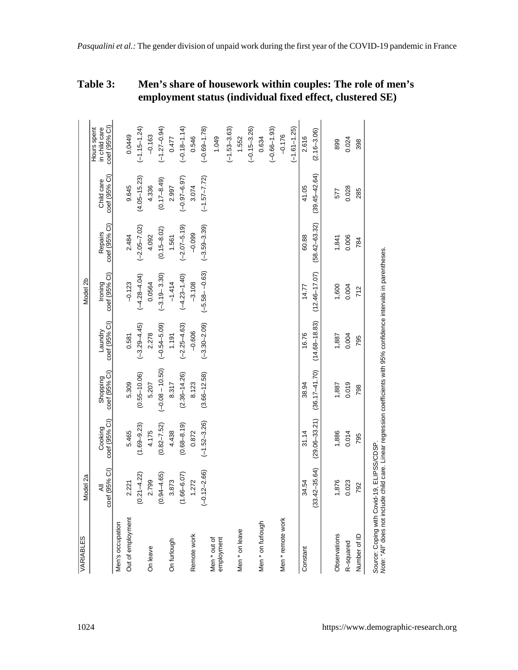| <b>VARIABLES</b>                                                                                                                                                    | Model 2a           |                          |                           |                          | Model 2b                 |                                 |                             |                                               |  |
|---------------------------------------------------------------------------------------------------------------------------------------------------------------------|--------------------|--------------------------|---------------------------|--------------------------|--------------------------|---------------------------------|-----------------------------|-----------------------------------------------|--|
|                                                                                                                                                                     | coef (95% CI)<br>₹ | coef (95% Cl)<br>Cooking | coef (95% CI)<br>Shopping | coef (95% CI)<br>Laundry | coef (95% Cl)<br>Ironing | coef (95% Cl)<br><b>Repairs</b> | coef (95% CI)<br>Child care | coef (95% CI)<br>in child care<br>Hours spent |  |
| Men's occupation                                                                                                                                                    |                    |                          |                           |                          |                          |                                 |                             |                                               |  |
| Out of employment                                                                                                                                                   | 2.221              | 5.465                    | 5.309                     | 0.581                    | $-0.123$                 | 2.484                           | 9.645                       | 0.0449                                        |  |
|                                                                                                                                                                     | $(0.21 - 4.22)$    | $(1.69 - 9.23)$          | $(0.55 - 10.06)$          | $(-3.29 - 4.45)$         | $(-4.28 - 4.04)$         | $(-2.05 - 7.02)$                | $(4.05 - 15.23)$            | $(-1.15 - 1.24)$                              |  |
| On leave                                                                                                                                                            | 2.799              | 4.175                    | 5.207                     | 2.278                    | 0.0564                   | 4.092                           | 4.336                       | $-0.163$                                      |  |
|                                                                                                                                                                     | $(0.94 - 4.65)$    | $(0.82 - 7.52)$          | $(-0.08 - 10.50)$         | $(-0.54 - 5.09)$         | $(-3.19 - 3.30)$         | $(0.15 - 8.02)$                 | $(0.17 - 8.49)$             | $(-1.27 - 0.94)$                              |  |
| On furlough                                                                                                                                                         | 3.873              | 4.438                    | 8.317                     | 1.191                    | $-1.414$                 | 1.561                           | 2.997                       | 0.477                                         |  |
|                                                                                                                                                                     | $(1.66 - 6.07)$    | $(0.68 - 8.19)$          | $(2.36 - 14.26)$          | $(-2.25 - 4.63)$         | $(-4.23 - 1.40)$         | $(-2.07 - 5.19)$                | $(-0.97 - 6.97)$            | $(-0.18 - 1.14)$                              |  |
| Remote work                                                                                                                                                         | 1.272              | 0.872                    | 8.123                     | $-0.606$                 | $-3.108$                 | $-0.099$                        | 3.074                       | 0.546                                         |  |
|                                                                                                                                                                     | $(-0.12 - 2.66)$   | $(-1.52 - 3.26)$         | $(3.66 - 12.58)$          | $(-3.30 - 2.09)$         | $(-5.58 - -0.63)$        | $(-3.59 - 3.39)$                | $(-1.57 - 7.72)$            | $(-0.69 - 1.78)$                              |  |
| Men * out of<br>employment                                                                                                                                          |                    |                          |                           |                          |                          |                                 |                             | 1.049                                         |  |
|                                                                                                                                                                     |                    |                          |                           |                          |                          |                                 |                             | $(-1.53 - 3.63)$                              |  |
| Men * on leave                                                                                                                                                      |                    |                          |                           |                          |                          |                                 |                             | 1.552                                         |  |
|                                                                                                                                                                     |                    |                          |                           |                          |                          |                                 |                             | $(-0.15 - 3.26)$                              |  |
| Men * on furlough                                                                                                                                                   |                    |                          |                           |                          |                          |                                 |                             | 0.634                                         |  |
|                                                                                                                                                                     |                    |                          |                           |                          |                          |                                 |                             | $(-0.66 - 1.93)$                              |  |
| Men * remote work                                                                                                                                                   |                    |                          |                           |                          |                          |                                 |                             | $-0.176$                                      |  |
|                                                                                                                                                                     |                    |                          |                           |                          |                          |                                 |                             | $(-1.61 - 1.25)$                              |  |
| Constant                                                                                                                                                            | 34.54              | 31.14                    | 38.94                     | 16.76                    | 14.77                    | 60.88                           | 41.05                       | 2.616                                         |  |
|                                                                                                                                                                     | $33.42 - 35.64$    | $(29.06 - 33.21)$        | $(36.17 - 41.70)$         | $(14.68 - 18.83)$        | $(12.46 - 17.07)$        | $(58.42 - 63.32)$               | $(39.45 - 42.64)$           | $(2.16 - 3.06)$                               |  |
|                                                                                                                                                                     |                    | 1,886                    |                           |                          |                          |                                 | 577                         | 899                                           |  |
| Observations                                                                                                                                                        | 1,876              |                          | 1,887                     | 1,887                    | 1,600                    | 1,841                           |                             |                                               |  |
| R-squared                                                                                                                                                           | 0.023              | 0.014                    | 0.019                     | 0.004                    | 0.004                    | 0.006                           | 0.028                       | 0.024                                         |  |
| Number of ID                                                                                                                                                        | 792                | 795                      | 798                       | 795                      | 712                      | 784                             | 285                         | 398                                           |  |
| Note: "All" does not include child care. Linear regression coefficients with 95% confidence intervals in parentheses.<br>Source: Coping with Covid-19, ELIPSS/CDSP. |                    |                          |                           |                          |                          |                                 |                             |                                               |  |

*Pasqualini et al.:* The gender division of unpaid work during the first year of the COVID-19 pandemic in France

**employment status (individual fixed effect, clustered SE)**

**Table 3: Men's share of housework within couples: The role of men's**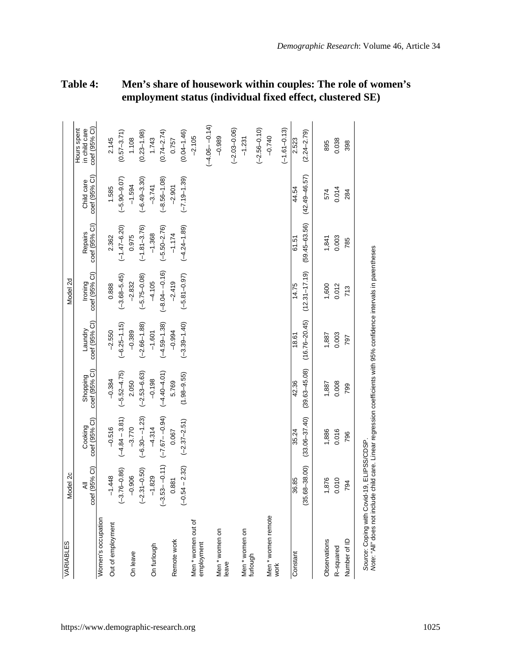| <b>VARIABLES</b>                                                                                                                                                   | Model 2c           |                          |                           |                          | Model 2d                 |                          |                             |                                               |
|--------------------------------------------------------------------------------------------------------------------------------------------------------------------|--------------------|--------------------------|---------------------------|--------------------------|--------------------------|--------------------------|-----------------------------|-----------------------------------------------|
|                                                                                                                                                                    | coef (95% Cl)<br>₹ | coef (95% CI)<br>Cooking | Shopping<br>coef (95% CI) | coef (95% Cl)<br>Laundry | coef (95% CI)<br>Ironing | coef (95% Cl)<br>Repairs | coef (95% CI)<br>Child care | coef (95% CI)<br>Hours spent<br>in child care |
| Women's occupation                                                                                                                                                 |                    |                          |                           |                          |                          |                          |                             |                                               |
| Out of employment                                                                                                                                                  | $-1.448$           | $-0.516$                 | $-0.384$                  | $-2.550$                 | 0.888                    | 2.362                    | 1.585                       | 2.145                                         |
|                                                                                                                                                                    | $(-3.76 - 0.86)$   | $(-4.84 - 3.81)$         | $(-5.52 - 4.75)$          | $(-6.25 - 1.15)$         | $(-3.68 - 5.45)$         | $(-1.47 - 6.20)$         | $(-5.90 - 9.07)$            | $(0.57 - 3.71)$                               |
| On leave                                                                                                                                                           | $-0.906$           | $-3.770$                 | 2.050                     | $-0.389$                 | $-2.832$                 | 0.975                    | $-1.594$                    | 1.108                                         |
|                                                                                                                                                                    | $(-2.31 - 0.50)$   | $(-6.30 - -1.23)$        | $(-2.53 - 6.63)$          | $(-2.66 - 1.88)$         | $(-5.75 - 0.08)$         | $(-1.81 - 3.76)$         | $(-6.49 - 3.30)$            | $(0.23 - 1.98)$                               |
| On furlough                                                                                                                                                        | $-1.829$           | $-4.314$                 | $-0.198$                  | $-1.601$                 | $-4.105$                 | $-1.368$                 | $-3.741$                    | 1.743                                         |
|                                                                                                                                                                    | $(-3.53 - -0.11)$  | $(-7.67 - 0.94)$         | $(-4.40 - 4.01)$          | $(-4.59 - 1.38)$         | $(-8.04 - 0.16)$         | $(-5.50 - 2.76)$         | $(-8.56 - 1.08)$            | $(0.74 - 2.74)$                               |
| Remote work                                                                                                                                                        | 0.881              | 0.067                    | 5.769                     | $-0.994$                 | $-2.419$                 | $-1.174$                 | $-2.901$                    | 0.757                                         |
|                                                                                                                                                                    | $(-0.54 - 2.32)$   | $(-2.37 - 2.51)$         | $(1.98 - 9.55)$           | $(-3.39 - 1.40)$         | $(-5.81 - 0.97)$         | $(-4.24 - 1.89)$         | $(-7.19 - 1.39)$            | $(0.04 - 1.46)$                               |
| Men*women out of                                                                                                                                                   |                    |                          |                           |                          |                          |                          |                             | $-2.105$                                      |
| employment                                                                                                                                                         |                    |                          |                           |                          |                          |                          |                             | $(-4.06 - 0.14)$                              |
| Men * women on                                                                                                                                                     |                    |                          |                           |                          |                          |                          |                             | $-0.989$                                      |
| leave                                                                                                                                                              |                    |                          |                           |                          |                          |                          |                             | $(-2.03 - 0.06)$                              |
| Men * women on<br>furlough                                                                                                                                         |                    |                          |                           |                          |                          |                          |                             | $-1.231$                                      |
|                                                                                                                                                                    |                    |                          |                           |                          |                          |                          |                             | $(-2.56 - 0.10)$                              |
| Men * women remote<br>work                                                                                                                                         |                    |                          |                           |                          |                          |                          |                             | $-0.740$                                      |
|                                                                                                                                                                    |                    |                          |                           |                          |                          |                          |                             | $(-1.61 - 0.13)$                              |
| Constant                                                                                                                                                           | 36.85              | 35.24                    | 42.36                     | 18.61                    | 14.75                    | 61.51                    | 44.54                       | 2.523                                         |
|                                                                                                                                                                    | $(35.68 - 38.00)$  | $(33.06 - 37.40)$        | $(39.63 - 45.08)$         | $(16.76 - 20.45)$        | $(12.31 - 17.19)$        | $(59.45 - 63.56)$        | $(42.49 - 46.57)$           | $(2.24 - 2.79)$                               |
| Observations                                                                                                                                                       | 1,876              | 1,886                    | 1,887                     | 1,887                    | 1,600                    | 1,841                    | 574                         | 895                                           |
| R-squared                                                                                                                                                          | 0.010              | 0.016                    | 0.008                     | 0.003                    | 0.012                    | 0.003                    | 0.014                       | 0.038                                         |
| Number of ID                                                                                                                                                       | 794                | 796                      | 799                       | 797                      | 713                      | 785                      | 284                         | 398                                           |
| Note: "All" does not include child care. Linear regression coefficients with 95% confidence intervals in parentheses<br>Source: Coping with Covid-19, ELIPSS/CDSP. |                    |                          |                           |                          |                          |                          |                             |                                               |

# **Table 4: Men's share of housework within couples: The role of women's employment status (individual fixed effect, clustered SE)**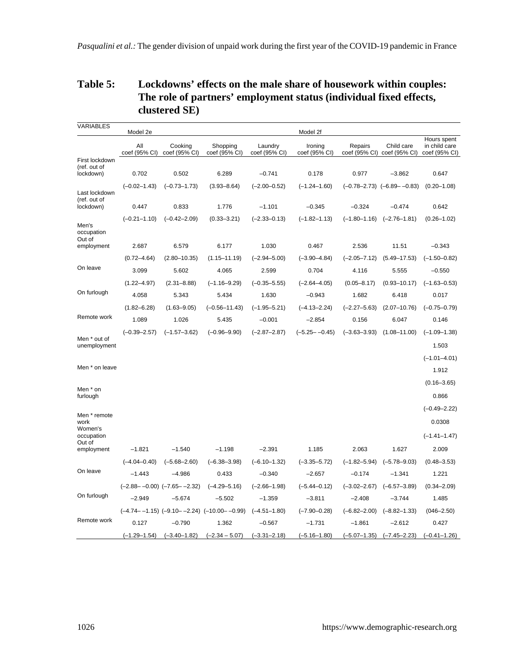## **Table 5: Lockdowns' effects on the male share of housework within couples: The role of partners' employment status (individual fixed effects, clustered SE)**

| VARIABLES                                  | Model 2e             |                                     |                                                        |                          | Model 2f                 |                  |                                           |                                               |
|--------------------------------------------|----------------------|-------------------------------------|--------------------------------------------------------|--------------------------|--------------------------|------------------|-------------------------------------------|-----------------------------------------------|
|                                            | All<br>coef (95% CI) | Cooking<br>coef (95% CI)            | Shopping<br>coef (95% CI)                              | Laundry<br>coef (95% CI) | Ironing<br>coef (95% CI) | Repairs          | Child care<br>coef (95% CI) coef (95% CI) | Hours spent<br>in child care<br>coef (95% CI) |
| First lockdown<br>(ref. out of             |                      |                                     |                                                        |                          |                          |                  |                                           |                                               |
| lockdown)                                  | 0.702                | 0.502                               | 6.289                                                  | $-0.741$                 | 0.178                    | 0.977            | $-3.862$                                  | 0.647                                         |
|                                            | $(-0.02 - 1.43)$     | $(-0.73 - 1.73)$                    | $(3.93 - 8.64)$                                        | $(-2.00 - 0.52)$         | $(-1.24 - 1.60)$         |                  | $(-0.78 - 2.73)$ $(-6.89 - -0.83)$        | $(0.20 - 1.08)$                               |
| Last lockdown<br>(ref. out of<br>lockdown) | 0.447                | 0.833                               | 1.776                                                  | $-1.101$                 | $-0.345$                 | $-0.324$         | $-0.474$                                  | 0.642                                         |
| Men's<br>occupation                        | $(-0.21 - 1.10)$     | $(-0.42 - 2.09)$                    | $(0.33 - 3.21)$                                        | $(-2.33 - 0.13)$         | $(-1.82 - 1.13)$         | $(-1.80 - 1.16)$ | $(-2.76 - 1.81)$                          | $(0.26 - 1.02)$                               |
| Out of<br>employment                       | 2.687                | 6.579                               | 6.177                                                  | 1.030                    | 0.467                    | 2.536            | 11.51                                     | $-0.343$                                      |
|                                            | $(0.72 - 4.64)$      | $(2.80 - 10.35)$                    | $(1.15 - 11.19)$                                       | $(-2.94 - 5.00)$         | $(-3.90 - 4.84)$         | $(-2.05 - 7.12)$ | $(5.49 - 17.53)$                          | $(-1.50 - 0.82)$                              |
| On leave                                   | 3.099                | 5.602                               | 4.065                                                  | 2.599                    | 0.704                    | 4.116            | 5.555                                     | $-0.550$                                      |
|                                            | $(1.22 - 4.97)$      | $(2.31 - 8.88)$                     | $(-1.16 - 9.29)$                                       | $(-0.35 - 5.55)$         | $(-2.64 - 4.05)$         | $(0.05 - 8.17)$  | $(0.93 - 10.17)$                          | $(-1.63 - 0.53)$                              |
| On furlough                                | 4.058                | 5.343                               | 5.434                                                  | 1.630                    | $-0.943$                 | 1.682            | 6.418                                     | 0.017                                         |
|                                            | $(1.82 - 6.28)$      | $(1.63 - 9.05)$                     | (-0.56-11.43)                                          | $(-1.95 - 5.21)$         | $(-4.13 - 2.24)$         | $(-2.27 - 5.63)$ | $(2.07 - 10.76)$                          | $(-0.75 - 0.79)$                              |
| Remote work                                | 1.089                | 1.026                               | 5.435                                                  | $-0.001$                 | $-2.854$                 | 0.156            | 6.047                                     | 0.146                                         |
|                                            | $(-0.39 - 2.57)$     | $(-1.57 - 3.62)$                    | $(-0.96 - 9.90)$                                       | $(-2.87 - 2.87)$         | $(-5.25 - -0.45)$        | $(-3.63 - 3.93)$ | $(1.08 - 11.00)$                          | $(-1.09 - 1.38)$                              |
| Men * out of<br>unemployment               |                      |                                     |                                                        |                          |                          |                  |                                           | 1.503                                         |
|                                            |                      |                                     |                                                        |                          |                          |                  |                                           | $(-1.01 - 4.01)$                              |
| Men * on leave                             |                      |                                     |                                                        |                          |                          |                  |                                           | 1.912                                         |
| Men * on                                   |                      |                                     |                                                        |                          |                          |                  |                                           | $(0.16 - 3.65)$                               |
| furlough                                   |                      |                                     |                                                        |                          |                          |                  |                                           | 0.866                                         |
| Men * remote                               |                      |                                     |                                                        |                          |                          |                  |                                           | $(-0.49 - 2.22)$                              |
| work                                       |                      |                                     |                                                        |                          |                          |                  |                                           | 0.0308                                        |
| Women's<br>occupation                      |                      |                                     |                                                        |                          |                          |                  |                                           | $(-1.41 - 1.47)$                              |
| Out of<br>employment                       | $-1.821$             | $-1.540$                            | $-1.198$                                               | $-2.391$                 | 1.185                    | 2.063            | 1.627                                     | 2.009                                         |
|                                            | $(-4.04 - 0.40)$     | $(-5.68 - 2.60)$                    | $(-6.38 - 3.98)$                                       | $(-6.10 - 1.32)$         | $(-3.35 - 5.72)$         | $(-1.82 - 5.94)$ | $(-5.78 - 9.03)$                          | $(0.48 - 3.53)$                               |
| On leave                                   | $-1.443$             | $-4.986$                            | 0.433                                                  | $-0.340$                 | $-2.657$                 | $-0.174$         | $-1.341$                                  | 1.221                                         |
|                                            |                      | $(-2.88 - -0.00)$ $(-7.65 - -2.32)$ | $(-4.29 - 5.16)$                                       | $(-2.66 - 1.98)$         | $(-5.44 - 0.12)$         | $(-3.02 - 2.67)$ | $(-6.57 - 3.89)$                          | $(0.34 - 2.09)$                               |
| On furlough                                | $-2.949$             | $-5.674$                            | $-5.502$                                               | $-1.359$                 | $-3.811$                 | $-2.408$         | $-3.744$                                  | 1.485                                         |
|                                            |                      |                                     | $(-4.74 - -1.15)$ $(-9.10 - -2.24)$ $(-10.00 - -0.99)$ | $(-4.51 - 1.80)$         | $(-7.90 - 0.28)$         | $(-6.82 - 2.00)$ | $(-8.82 - 1.33)$                          | $(046 - 2.50)$                                |
| Remote work                                | 0.127                | $-0.790$                            | 1.362                                                  | $-0.567$                 | -1.731                   | -1.861           | $-2.612$                                  | 0.427                                         |
|                                            | $(-1.29 - 1.54)$     | $(-3.40 - 1.82)$                    | $(-2.34 - 5.07)$                                       | $(-3.31 - 2.18)$         | $(-5.16 - 1.80)$         | $(-5.07 - 1.35)$ | $(-7.45 - 2.23)$                          | $(-0.41 - 1.26)$                              |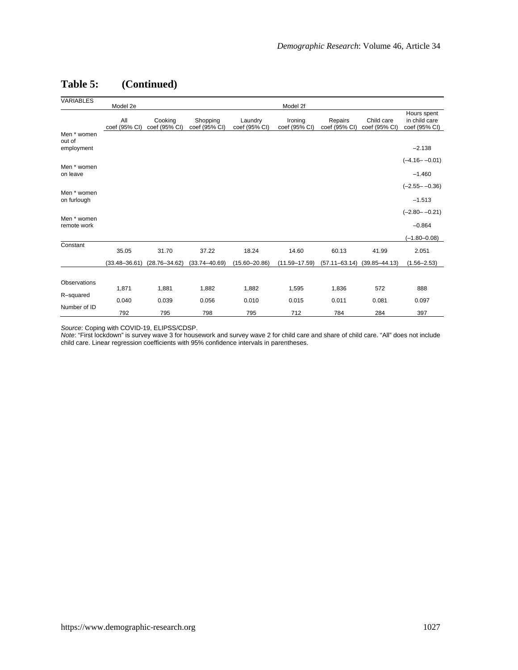# **Table 5: (Continued)**

| VARIABLES                           | Model 2e             |                          |                           |                          | Model 2f                 |                          |                             |                                               |
|-------------------------------------|----------------------|--------------------------|---------------------------|--------------------------|--------------------------|--------------------------|-----------------------------|-----------------------------------------------|
|                                     | All<br>coef (95% CI) | Cooking<br>coef (95% CI) | Shopping<br>coef (95% CI) | Laundry<br>coef (95% CI) | Ironing<br>coef (95% CI) | Repairs<br>coef (95% CI) | Child care<br>coef (95% CI) | Hours spent<br>in child care<br>coef (95% CI) |
| Men * women<br>out of<br>employment |                      |                          |                           |                          |                          |                          |                             | $-2.138$                                      |
|                                     |                      |                          |                           |                          |                          |                          |                             | $(-4.16 - -0.01)$                             |
| Men * women<br>on leave             |                      |                          |                           |                          |                          |                          |                             | $-1.460$                                      |
|                                     |                      |                          |                           |                          |                          |                          |                             | $(-2.55 - -0.36)$                             |
| Men * women<br>on furlough          |                      |                          |                           |                          |                          |                          |                             | $-1.513$                                      |
|                                     |                      |                          |                           |                          |                          |                          |                             | $(-2.80 - -0.21)$                             |
| Men * women<br>remote work          |                      |                          |                           |                          |                          |                          |                             | $-0.864$                                      |
|                                     |                      |                          |                           |                          |                          |                          |                             | $(-1.80 - 0.08)$                              |
| Constant                            | 35.05                | 31.70                    | 37.22                     | 18.24                    | 14.60                    | 60.13                    | 41.99                       | 2.051                                         |
|                                     | $(33.48 - 36.61)$    | $(28.76 - 34.62)$        | $(33.74 - 40.69)$         | $(15.60 - 20.86)$        | $(11.59 - 17.59)$        | $(57.11 - 63.14)$        | $(39.85 - 44.13)$           | $(1.56 - 2.53)$                               |
|                                     |                      |                          |                           |                          |                          |                          |                             |                                               |
| Observations                        | 1,871                | 1,881                    | 1,882                     | 1,882                    | 1,595                    | 1,836                    | 572                         | 888                                           |
| R-squared                           | 0.040                | 0.039                    | 0.056                     | 0.010                    | 0.015                    | 0.011                    | 0.081                       | 0.097                                         |
| Number of ID                        | 792                  | 795                      | 798                       | 795                      | 712                      | 784                      | 284                         | 397                                           |

*Source*: Coping with COVID-19, ELIPSS/CDSP.<br>*Note: "*First lockdown" is survey wave 3 for housework and survey wave 2 for child care and share of child care. "All" does not include<br>child care. Linear regression coefficien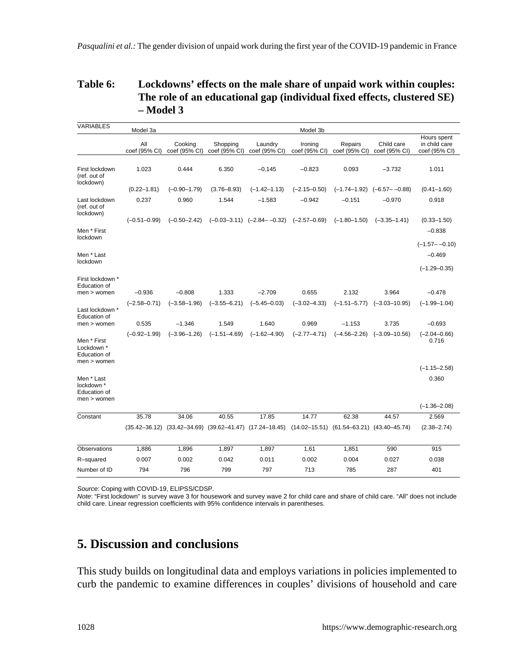### **Table 6: Lockdowns' effects on the male share of unpaid work within couples: The role of an educational gap (individual fixed effects, clustered SE) – Model 3**

| VARIABLES                                                  | Model 3a             |                          |                           |                                                                                                                 | Model 3b                 |                          |                                    |                                               |
|------------------------------------------------------------|----------------------|--------------------------|---------------------------|-----------------------------------------------------------------------------------------------------------------|--------------------------|--------------------------|------------------------------------|-----------------------------------------------|
|                                                            | All<br>coef (95% CI) | Cooking<br>coef (95% CI) | Shopping<br>coef (95% CI) | Laundry<br>coef (95% CI)                                                                                        | Ironing<br>coef (95% CI) | Repairs<br>coef (95% CI) | Child care<br>coef (95% CI)        | Hours spent<br>in child care<br>coef (95% CI) |
| First lockdown<br>(ref. out of<br>lockdown)                | 1.023                | 0.444                    | 6.350                     | $-0.145$                                                                                                        | $-0.823$                 | 0.093                    | $-3.732$                           | 1.011                                         |
|                                                            | $(0.22 - 1.81)$      | $(-0.90 - 1.79)$         | $(3.76 - 8.93)$           | $(-1.42 - 1.13)$                                                                                                | $(-2.15 - 0.50)$         |                          | $(-1.74-1.92)$ $(-6.57 - -0.88)$   | $(0.41 - 1.60)$                               |
| Last lockdown<br>(ref. out of<br>lockdown)                 | 0.237                | 0.960                    | 1.544                     | $-1.583$                                                                                                        | $-0.942$                 | $-0.151$                 | $-0.970$                           | 0.918                                         |
|                                                            | $(-0.51 - 0.99)$     | $(-0.50 - 2.42)$         |                           | $(-0.03-3.11)$ $(-2.84-0.32)$                                                                                   | $(-2.57 - 0.69)$         | $(-1.80 - 1.50)$         | $(-3.35 - 1.41)$                   | $(0.33 - 1.50)$                               |
| Men * First<br>lockdown                                    |                      |                          |                           |                                                                                                                 |                          |                          |                                    | $-0.838$                                      |
| Men * Last                                                 |                      |                          |                           |                                                                                                                 |                          |                          |                                    | $(-1.57 - -0.10)$<br>$-0.469$                 |
| lockdown                                                   |                      |                          |                           |                                                                                                                 |                          |                          |                                    | $(-1.29 - 0.35)$                              |
| First lockdown *<br>Education of                           |                      |                          |                           |                                                                                                                 |                          |                          |                                    |                                               |
| $men$ > women                                              | $-0.936$             | $-0.808$                 | 1.333                     | $-2.709$                                                                                                        | 0.655                    | 2.132                    | 3.964                              | $-0.478$                                      |
| Last lockdown *<br>Education of                            | $(-2.58 - 0.71)$     | $(-3.58 - 1.96)$         | $(-3.55 - 6.21)$          | $(-5.45 - 0.03)$                                                                                                | $(-3.02 - 4.33)$         |                          | $(-1.51 - 5.77)$ $(-3.03 - 10.95)$ | $(-1.99 - 1.04)$                              |
| men > women                                                | 0.535                | $-1.346$                 | 1.549                     | 1.640                                                                                                           | 0.969                    | $-1.153$                 | 3.735                              | $-0.693$                                      |
| Men * First<br>Lockdown *<br>Education of<br>$men$ > women | $(-0.92 - 1.99)$     | $(-3.96 - 1.26)$         | $(-1.51 - 4.69)$          | $(-1.62 - 4.90)$                                                                                                | $(-2.77 - 4.71)$         | $(-4.56 - 2.26)$         | $(-3.09 - 10.56)$                  | $(-2.04 - 0.66)$<br>0.716                     |
|                                                            |                      |                          |                           |                                                                                                                 |                          |                          |                                    | $(-1.15 - 2.58)$                              |
| Men * Last<br>lockdown *<br>Education of<br>$men$ > women  |                      |                          |                           |                                                                                                                 |                          |                          |                                    | 0.360                                         |
|                                                            |                      |                          |                           |                                                                                                                 |                          |                          |                                    | $(-1.36 - 2.08)$                              |
| Constant                                                   | 35.78                | 34.06                    | 40.55                     | 17.85                                                                                                           | 14.77                    | 62.38                    | 44.57                              | 2.569                                         |
|                                                            |                      |                          |                           | $(35.42-36.12)$ $(33.42-34.69)$ $(39.62-41.47)$ $(17.24-18.45)$ $(14.02-15.51)$ $(61.54-63.21)$ $(43.40-45.74)$ |                          |                          |                                    | $(2.38 - 2.74)$                               |
| Observations                                               | 1,886                | 1,896                    | 1,897                     | 1,897                                                                                                           | 1,61                     | 1,851                    | 590                                | 915                                           |
| R-squared                                                  | 0.007                | 0.002                    | 0.042                     | 0.011                                                                                                           | 0.002                    | 0.004                    | 0.027                              | 0.038                                         |
| Number of ID                                               | 794                  | 796                      | 799                       | 797                                                                                                             | 713                      | 785                      | 287                                | 401                                           |

*Source*: Coping with COVID-19, ELIPSS/CDSP.

*Note*: "First lockdown" is survey wave 3 for housework and survey wave 2 for child care and share of child care. "All" does not include child care. Linear regression coefficients with 95% confidence intervals in parentheses.

# **5. Discussion and conclusions**

This study builds on longitudinal data and employs variations in policies implemented to curb the pandemic to examine differences in couples' divisions of household and care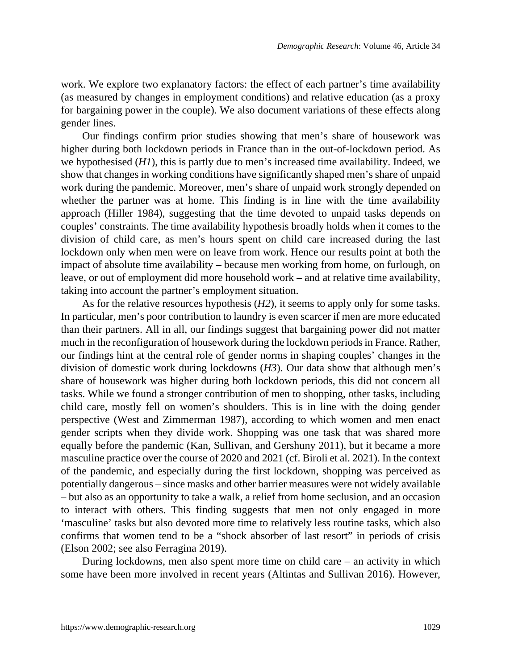work. We explore two explanatory factors: the effect of each partner's time availability (as measured by changes in employment conditions) and relative education (as a proxy for bargaining power in the couple). We also document variations of these effects along gender lines.

Our findings confirm prior studies showing that men's share of housework was higher during both lockdown periods in France than in the out-of-lockdown period. As we hypothesised (*H1*), this is partly due to men's increased time availability. Indeed, we show that changes in working conditions have significantly shaped men's share of unpaid work during the pandemic. Moreover, men's share of unpaid work strongly depended on whether the partner was at home. This finding is in line with the time availability approach (Hiller 1984), suggesting that the time devoted to unpaid tasks depends on couples' constraints. The time availability hypothesis broadly holds when it comes to the division of child care, as men's hours spent on child care increased during the last lockdown only when men were on leave from work. Hence our results point at both the impact of absolute time availability – because men working from home, on furlough, on leave, or out of employment did more household work – and at relative time availability, taking into account the partner's employment situation.

As for the relative resources hypothesis (*H2*), it seems to apply only for some tasks. In particular, men's poor contribution to laundry is even scarcer if men are more educated than their partners. All in all, our findings suggest that bargaining power did not matter much in the reconfiguration of housework during the lockdown periods in France. Rather, our findings hint at the central role of gender norms in shaping couples' changes in the division of domestic work during lockdowns (*H3*). Our data show that although men's share of housework was higher during both lockdown periods, this did not concern all tasks. While we found a stronger contribution of men to shopping, other tasks, including child care, mostly fell on women's shoulders. This is in line with the doing gender perspective (West and Zimmerman 1987), according to which women and men enact gender scripts when they divide work. Shopping was one task that was shared more equally before the pandemic (Kan, Sullivan, and Gershuny 2011), but it became a more masculine practice over the course of 2020 and 2021 (cf. Biroli et al. 2021). In the context of the pandemic, and especially during the first lockdown, shopping was perceived as potentially dangerous – since masks and other barrier measures were not widely available – but also as an opportunity to take a walk, a relief from home seclusion, and an occasion to interact with others. This finding suggests that men not only engaged in more 'masculine' tasks but also devoted more time to relatively less routine tasks, which also confirms that women tend to be a "shock absorber of last resort" in periods of crisis (Elson 2002; see also Ferragina 2019).

During lockdowns, men also spent more time on child care – an activity in which some have been more involved in recent years (Altintas and Sullivan 2016). However,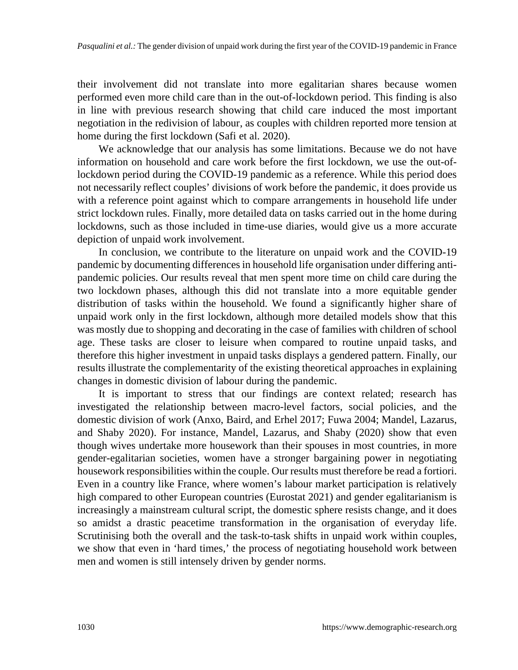their involvement did not translate into more egalitarian shares because women performed even more child care than in the out-of-lockdown period. This finding is also in line with previous research showing that child care induced the most important negotiation in the redivision of labour, as couples with children reported more tension at home during the first lockdown (Safi et al. 2020).

We acknowledge that our analysis has some limitations. Because we do not have information on household and care work before the first lockdown, we use the out-oflockdown period during the COVID-19 pandemic as a reference. While this period does not necessarily reflect couples' divisions of work before the pandemic, it does provide us with a reference point against which to compare arrangements in household life under strict lockdown rules. Finally, more detailed data on tasks carried out in the home during lockdowns, such as those included in time-use diaries, would give us a more accurate depiction of unpaid work involvement.

In conclusion, we contribute to the literature on unpaid work and the COVID-19 pandemic by documenting differences in household life organisation under differing antipandemic policies. Our results reveal that men spent more time on child care during the two lockdown phases, although this did not translate into a more equitable gender distribution of tasks within the household. We found a significantly higher share of unpaid work only in the first lockdown, although more detailed models show that this was mostly due to shopping and decorating in the case of families with children of school age. These tasks are closer to leisure when compared to routine unpaid tasks, and therefore this higher investment in unpaid tasks displays a gendered pattern. Finally, our results illustrate the complementarity of the existing theoretical approaches in explaining changes in domestic division of labour during the pandemic.

It is important to stress that our findings are context related; research has investigated the relationship between macro-level factors, social policies, and the domestic division of work (Anxo, Baird, and Erhel 2017; Fuwa 2004; Mandel, Lazarus, and Shaby 2020). For instance, Mandel, Lazarus, and Shaby (2020) show that even though wives undertake more housework than their spouses in most countries, in more gender-egalitarian societies, women have a stronger bargaining power in negotiating housework responsibilities within the couple. Our results must therefore be read a fortiori. Even in a country like France, where women's labour market participation is relatively high compared to other European countries (Eurostat 2021) and gender egalitarianism is increasingly a mainstream cultural script, the domestic sphere resists change, and it does so amidst a drastic peacetime transformation in the organisation of everyday life. Scrutinising both the overall and the task-to-task shifts in unpaid work within couples, we show that even in 'hard times,' the process of negotiating household work between men and women is still intensely driven by gender norms.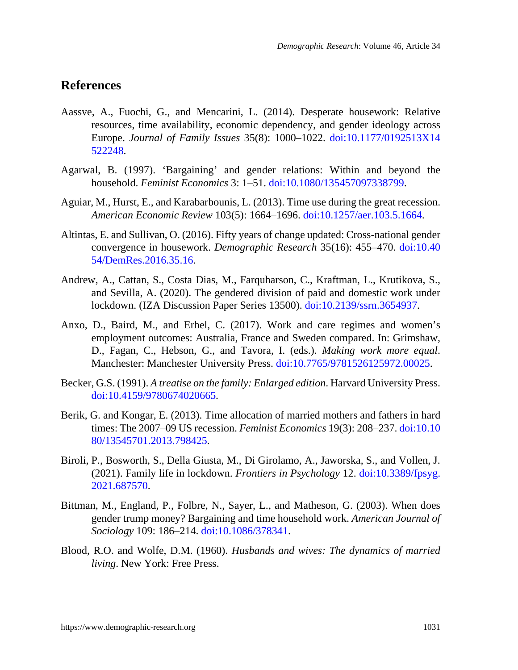## **References**

- Aassve, A., Fuochi, G., and Mencarini, L. (2014). Desperate housework: Relative resources, time availability, economic dependency, and gender ideology across Europe. *Journal of Family Issues* 35(8): 1000–1022. [doi:10.1177/0192513X14](https://doi.org/10.1177/0192513X14522248) [522248.](https://doi.org/10.1177/0192513X14522248)
- Agarwal, B. (1997). 'Bargaining' and gender relations: Within and beyond the household. *Feminist Economics* 3: 1–51. [doi:10.1080/135457097338799](https://doi.org/10.1080/135457097338799).
- Aguiar, M., Hurst, E., and Karabarbounis, L. (2013). Time use during the great recession. *American Economic Review* 103(5): 1664–1696. [doi:10.1257/aer.103.5.1664.](https://doi.org/10.1257/aer.103.5.1664)
- Altintas, E. and Sullivan, O. (2016). Fifty years of change updated: Cross-national gender convergence in housework. *Demographic Research* 35(16): 455–470. [doi:10.40](https://doi.org/10.4054/DemRes.2016.35.16) [54/DemRes.2016.35.16.](https://doi.org/10.4054/DemRes.2016.35.16)
- Andrew, A., Cattan, S., Costa Dias, M., Farquharson, C., Kraftman, L., Krutikova, S., and Sevilla, A. (2020). The gendered division of paid and domestic work under lockdown. (IZA Discussion Paper Series 13500). [doi:10.2139/ssrn.3654937](https://doi.org/10.2139/ssrn.3654937).
- Anxo, D., Baird, M., and Erhel, C. (2017). Work and care regimes and women's employment outcomes: Australia, France and Sweden compared. In: Grimshaw, D., Fagan, C., Hebson, G., and Tavora, I. (eds.). *Making work more equal*. Manchester: Manchester University Press. [doi:10.7765/9781526125972.00025](https://doi.org/10.7765/9781526125972.00025).
- Becker, G.S. (1991). *A treatise on the family: Enlarged edition*. Harvard University Press. [doi:10.4159/9780674020665.](https://doi.org/10.4159/9780674020665)
- Berik, G. and Kongar, E. (2013). Time allocation of married mothers and fathers in hard times: The 2007–09 US recession. *Feminist Economics* 19(3): 208–237. [doi:10.10](https://doi.org/10.1080/13545701.2013.798425) [80/13545701.2013.798425.](https://doi.org/10.1080/13545701.2013.798425)
- Biroli, P., Bosworth, S., Della Giusta, M., Di Girolamo, A., Jaworska, S., and Vollen, J. (2021). Family life in lockdown. *Frontiers in Psychology* 12. [doi:10.3389/fpsyg.](https://doi.org/10.3389/fpsyg.2021.687570) [2021.687570.](https://doi.org/10.3389/fpsyg.2021.687570)
- Bittman, M., England, P., Folbre, N., Sayer, L., and Matheson, G. (2003). When does gender trump money? Bargaining and time household work. *American Journal of Sociology* 109: 186–214. [doi:10.1086/378341](https://doi.org/10.1086/378341).
- Blood, R.O. and Wolfe, D.M. (1960). *Husbands and wives: The dynamics of married living*. New York: Free Press.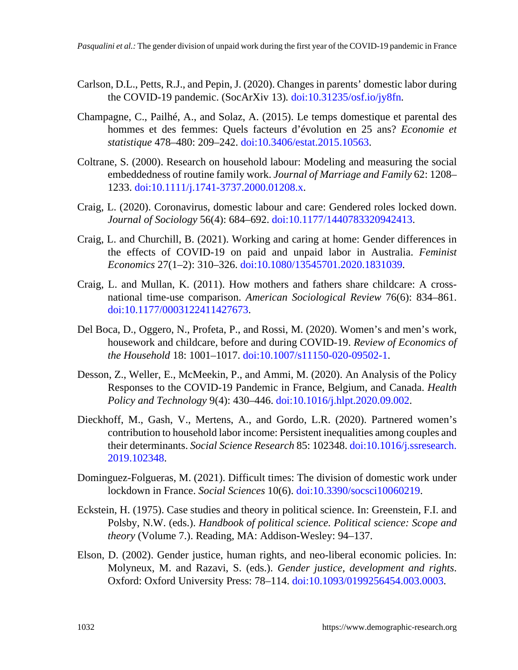- Carlson, D.L., Petts, R.J., and Pepin, J. (2020). Changes in parents' domestic labor during the COVID-19 pandemic. (SocArXiv 13)*.* [doi:10.31235/osf.io/jy8fn.](https://doi.org/10.31235/osf.io/jy8fn)
- Champagne, C., Pailhé, A., and Solaz, A. (2015). Le temps domestique et parental des hommes et des femmes: Quels facteurs d'évolution en 25 ans? *Economie et statistique* 478–480: 209–242. [doi:10.3406/estat.2015.10563.](https://doi.org/10.3406/estat.2015.10563)
- Coltrane, S. (2000). Research on household labour: Modeling and measuring the social embeddedness of routine family work. *Journal of Marriage and Family* 62: 1208– 1233. [doi:10.1111/j.1741-3737.2000.01208.x](https://doi.org/10.1111/j.1741-3737.2000.01208.x).
- Craig, L. (2020). Coronavirus, domestic labour and care: Gendered roles locked down. *Journal of Sociology* 56(4): 684–692. [doi:10.1177/1440783320942413](https://doi.org/10.1177/1440783320942413).
- Craig, L. and Churchill, B. (2021). Working and caring at home: Gender differences in the effects of COVID-19 on paid and unpaid labor in Australia. *Feminist Economics* 27(1–2): 310–326. [doi:10.1080/13545701.2020.1831039](https://doi.org/10.1080/13545701.2020.1831039).
- Craig, L. and Mullan, K. (2011). How mothers and fathers share childcare: A crossnational time-use comparison. *American Sociological Review* 76(6): 834–861. [doi:10.1177/0003122411427673](https://doi.org/10.1177/0003122411427673).
- Del Boca, D., Oggero, N., Profeta, P., and Rossi, M. (2020). Women's and men's work, housework and childcare, before and during COVID-19. *Review of Economics of the Household* 18: 1001–1017. [doi:10.1007/s11150-020-09502-1.](https://doi.org/10.1007/s11150-020-09502-1)
- Desson, Z., Weller, E., McMeekin, P., and Ammi, M. (2020). An Analysis of the Policy Responses to the COVID-19 Pandemic in France, Belgium, and Canada. *Health Policy and Technology* 9(4): 430–446. [doi:10.1016/j.hlpt.2020.09.002](https://doi.org/10.1016/j.hlpt.2020.09.002).
- Dieckhoff, M., Gash, V., Mertens, A., and Gordo, L.R. (2020). Partnered women's contribution to household labor income: Persistent inequalities among couples and their determinants. *Social Science Research* 85: 102348. [doi:10.1016/j.ssresearch.](https://doi.org/10.1016/j.ssresearch.2019.102348) [2019.102348.](https://doi.org/10.1016/j.ssresearch.2019.102348)
- Dominguez-Folgueras, M. (2021). Difficult times: The division of domestic work under lockdown in France. *Social Sciences* 10(6). [doi:10.3390/socsci10060219.](https://doi.org/10.3390/socsci10060219)
- Eckstein, H. (1975). Case studies and theory in political science. In: Greenstein, F.I. and Polsby, N.W. (eds.). *Handbook of political science. Political science: Scope and theory* (Volume 7.). Reading, MA: Addison-Wesley: 94–137.
- Elson, D. (2002). Gender justice, human rights, and neo-liberal economic policies. In: Molyneux, M. and Razavi, S. (eds.). *Gender justice, development and rights*. Oxford: Oxford University Press: 78–114. [doi:10.1093/0199256454.003.0003](https://doi.org/10.1093/0199256454.003.0003).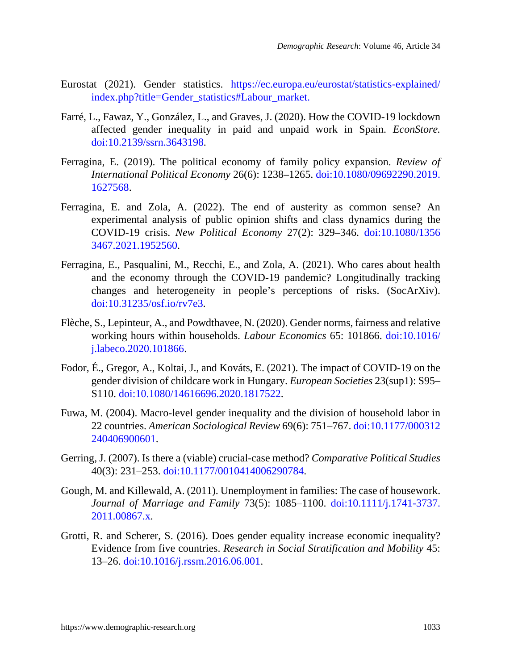- Eurostat (2021). Gender statistics. [https://ec.europa.eu/eurostat/statistics-explained/](https://ec.europa.eu/eurostat/statistics-explained/index.php?title=Gender_statistics#Labour_market) [index.php?title=Gender\\_statistics#Labour\\_market](https://ec.europa.eu/eurostat/statistics-explained/index.php?title=Gender_statistics#Labour_market).
- Farré, L., Fawaz, Y., González, L., and Graves, J. (2020). How the COVID-19 lockdown affected gender inequality in paid and unpaid work in Spain. *EconStore.* [doi:10.2139/ssrn.3643198.](https://doi.org/10.2139/ssrn.3643198)
- Ferragina, E. (2019). The political economy of family policy expansion. *Review of International Political Economy* 26(6): 1238–1265. [doi:10.1080/09692290.2019.](https://doi.org/10.1080/09692290.2019.1627568) [1627568](https://doi.org/10.1080/09692290.2019.1627568).
- Ferragina, E. and Zola, A. (2022). The end of austerity as common sense? An experimental analysis of public opinion shifts and class dynamics during the COVID-19 crisis. *New Political Economy* 27(2): 329–346. [doi:10.1080/1356](https://doi.org/10.1080/13563467.2021.1952560) [3467.2021.1952560](https://doi.org/10.1080/13563467.2021.1952560).
- Ferragina, E., Pasqualini, M., Recchi, E., and Zola, A. (2021). Who cares about health and the economy through the COVID-19 pandemic? Longitudinally tracking changes and heterogeneity in people's perceptions of risks. (SocArXiv). [doi:10.31235/osf.io/rv7e3.](https://doi.org/10.31235/osf.io/rv7e3)
- Flèche, S., Lepinteur, A., and Powdthavee, N. (2020). Gender norms, fairness and relative working hours within households. *Labour Economics* 65: 101866. [doi:10.1016/](https://doi.org/10.1016/j.labeco.2020.101866) [j.labeco.2020.101866.](https://doi.org/10.1016/j.labeco.2020.101866)
- Fodor, É., Gregor, A., Koltai, J., and Kováts, E. (2021). The impact of COVID-19 on the gender division of childcare work in Hungary. *European Societies* 23(sup1): S95– S<sub>110</sub>. [doi:10.1080/14616696.2020.1817522.](https://doi.org/10.1080/14616696.2020.1817522)
- Fuwa, M. (2004). Macro-level gender inequality and the division of household labor in 22 countries. *American Sociological Review* 69(6): 751–767. [doi:10.1177/000312](https://doi.org/10.1177/000312240406900601) [240406900601.](https://doi.org/10.1177/000312240406900601)
- Gerring, J. (2007). Is there a (viable) crucial-case method? *Comparative Political Studies* 40(3): 231–253. [doi:10.1177/0010414006290784.](https://doi.org/10.1177/0010414006290784)
- Gough, M. and Killewald, A. (2011). Unemployment in families: The case of housework. *Journal of Marriage and Family* 73(5): 1085–1100. [doi:10.1111/j.1741-3737.](https://doi.org/10.1111/j.1741-3737.2011.00867.x) [2011.00867.x](https://doi.org/10.1111/j.1741-3737.2011.00867.x).
- Grotti, R. and Scherer, S. (2016). Does gender equality increase economic inequality? Evidence from five countries. *Research in Social Stratification and Mobility* 45: 13–26. [doi:10.1016/j.rssm.2016.06.001.](https://doi.org/10.1016/j.rssm.2016.06.001)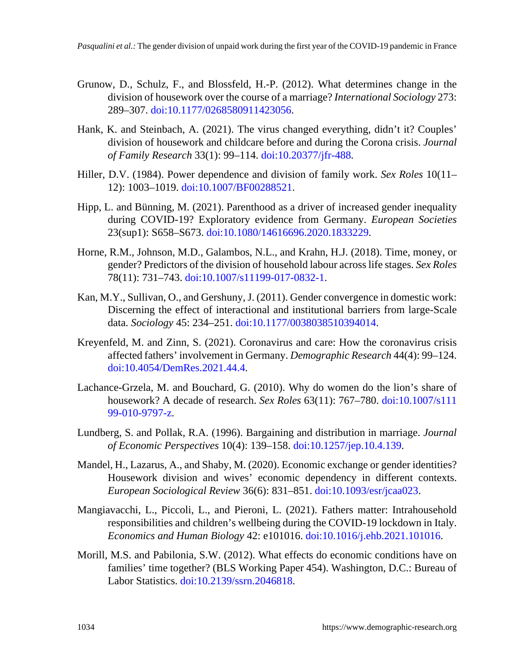- Grunow, D., Schulz, F., and Blossfeld, H.-P. (2012). What determines change in the division of housework over the course of a marriage? *International Sociology* 273: 289–307. [doi:10.1177/0268580911423056.](https://doi.org/10.1177/0268580911423056)
- Hank, K. and Steinbach, A. (2021). The virus changed everything, didn't it? Couples' division of housework and childcare before and during the Corona crisis. *Journal of Family Research* 33(1): 99–114. [doi:10.20377/jfr-488.](https://doi.org/10.20377/jfr-488)
- Hiller, D.V. (1984). Power dependence and division of family work. *Sex Roles* 10(11– 12): 1003–1019. [doi:10.1007/BF00288521](https://doi.org/10.1007/BF00288521).
- Hipp, L. and Bünning, M. (2021). Parenthood as a driver of increased gender inequality during COVID-19? Exploratory evidence from Germany. *European Societies* 23(sup1): S658–S673. [doi:10.1080/14616696.2020.1833229.](https://doi.org/10.1080/14616696.2020.1833229)
- Horne, R.M., Johnson, M.D., Galambos, N.L., and Krahn, H.J. (2018). Time, money, or gender? Predictors of the division of household labour across life stages. *Sex Roles* 78(11): 731–743. [doi:10.1007/s11199-017-0832-1](https://doi.org/10.1007/s11199-017-0832-1).
- Kan, M.Y., Sullivan, O., and Gershuny, J. (2011). Gender convergence in domestic work: Discerning the effect of interactional and institutional barriers from large-Scale data. *Sociology* 45: 234–251. [doi:10.1177/0038038510394014](https://doi.org/10.1177/0038038510394014).
- Kreyenfeld, M. and Zinn, S. (2021). Coronavirus and care: How the coronavirus crisis affected fathers' involvement in Germany. *Demographic Research* 44(4): 99–124. [doi:10.4054/DemRes.2021.44.4](https://doi.org/10.4054/DemRes.2021.44.4).
- Lachance-Grzela, M. and Bouchard, G. (2010). Why do women do the lion's share of housework? A decade of research. *Sex Roles* 63(11): 767–780. [doi:10.1007/s111](https://doi.org/10.1007/s11199-010-9797-z) [99-010-9797-z.](https://doi.org/10.1007/s11199-010-9797-z)
- Lundberg, S. and Pollak, R.A. (1996). Bargaining and distribution in marriage. *Journal of Economic Perspectives* 10(4): 139–158. [doi:10.1257/jep.10.4.139.](https://doi.org/10.1257/jep.10.4.139)
- Mandel, H., Lazarus, A., and Shaby, M. (2020). Economic exchange or gender identities? Housework division and wives' economic dependency in different contexts. *European Sociological Review* 36(6): 831–851. [doi:10.1093/esr/jcaa023](https://doi.org/10.1093/esr/jcaa023).
- Mangiavacchi, L., Piccoli, L., and Pieroni, L. (2021). Fathers matter: Intrahousehold responsibilities and children's wellbeing during the COVID-19 lockdown in Italy. *Economics and Human Biology* 42: e101016. [doi:10.1016/j.ehb.2021.101016](https://doi.org/10.1016/j.ehb.2021.101016).
- Morill, M.S. and Pabilonia, S.W. (2012). What effects do economic conditions have on families' time together? (BLS Working Paper 454). Washington, D.C.: Bureau of Labor Statistics. [doi:10.2139/ssrn.2046818](https://doi.org/10.2139/ssrn.2046818).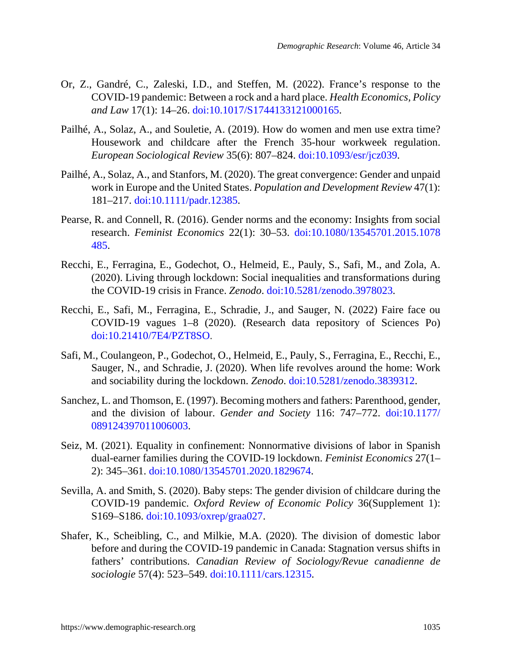- Or, Z., Gandré, C., Zaleski, I.D., and Steffen, M. (2022). France's response to the COVID-19 pandemic: Between a rock and a hard place. *Health Economics, Policy and Law* 17(1): 14–26. [doi:10.1017/S1744133121000165.](https://doi.org/10.1017/S1744133121000165)
- Pailhé, A., Solaz, A., and Souletie, A. (2019). How do women and men use extra time? Housework and childcare after the French 35-hour workweek regulation. *European Sociological Review* 35(6): 807–824. [doi:10.1093/esr/jcz039.](https://doi.org/10.1093/esr/jcz039)
- Pailhé, A., Solaz, A., and Stanfors, M. (2020). The great convergence: Gender and unpaid work in Europe and the United States. *Population and Development Review* 47(1): 181–217. [doi:10.1111/padr.12385](https://doi.org/10.1111/padr.12385).
- Pearse, R. and Connell, R. (2016). Gender norms and the economy: Insights from social research. *Feminist Economics* 22(1): 30–53. [doi:10.1080/13545701.2015.1078](https://doi.org/10.1080/13545701.2015.1078485) [485](https://doi.org/10.1080/13545701.2015.1078485).
- Recchi, E., Ferragina, E., Godechot, O., Helmeid, E., Pauly, S., Safi, M., and Zola, A. (2020). Living through lockdown: Social inequalities and transformations during the COVID-19 crisis in France. *Zenodo*. [doi:10.5281/zenodo.3978023.](https://doi.org/10.5281/zenodo.3978023)
- Recchi, E., Safi, M., Ferragina, E., Schradie, J., and Sauger, N. (2022) Faire face ou COVID-19 vagues 1–8 (2020). (Research data repository of Sciences Po) [doi:10.21410/7E4/PZT8SO.](https://doi.org/10.21410/7E4/PZT8SO)
- Safi, M., Coulangeon, P., Godechot, O., Helmeid, E., Pauly, S., Ferragina, E., Recchi, E., Sauger, N., and Schradie, J. (2020). When life revolves around the home: Work and sociability during the lockdown. *Zenodo*. [doi:10.5281/zenodo.3839312](https://doi.org/10.5281/zenodo.3839312).
- Sanchez, L. and Thomson, E. (1997). Becoming mothers and fathers: Parenthood, gender, and the division of labour. *Gender and Society* 116: 747–772. [doi:10.1177/](https://doi.org/10.1177/089124397011006003) [089124397011006003.](https://doi.org/10.1177/089124397011006003)
- Seiz, M. (2021). Equality in confinement: Nonnormative divisions of labor in Spanish dual-earner families during the COVID-19 lockdown. *Feminist Economics* 27(1– 2): 345–361. [doi:10.1080/13545701.2020.1829674.](https://doi.org/10.1080/13545701.2020.1829674)
- Sevilla, A. and Smith, S. (2020). Baby steps: The gender division of childcare during the COVID-19 pandemic. *Oxford Review of Economic Policy* 36(Supplement 1): S169–S186. [doi:10.1093/oxrep/graa027.](https://doi.org/10.1093/oxrep/graa027)
- Shafer, K., Scheibling, C., and Milkie, M.A. (2020). The division of domestic labor before and during the COVID‐19 pandemic in Canada: Stagnation versus shifts in fathers' contributions. *Canadian Review of Sociology/Revue canadienne de sociologie* 57(4): 523–549. [doi:10.1111/cars.12315](https://doi.org/10.1111/cars.12315).